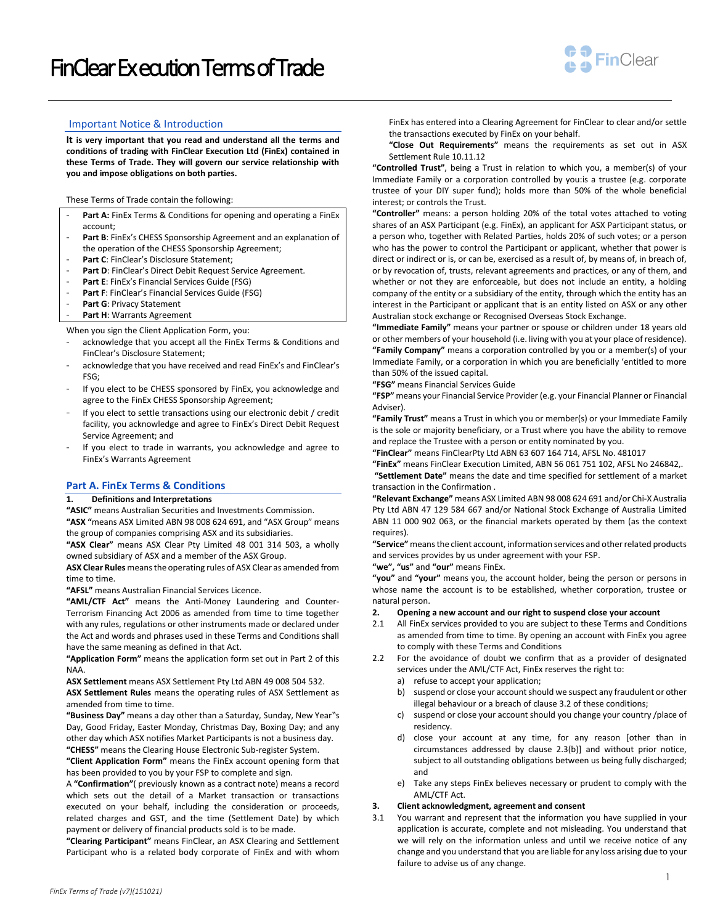

## Important Notice & Introduction

**It is very important that you read and understand all the terms and conditions of trading with FinClear Execution Ltd (FinEx) contained in these Terms of Trade. They will govern our service relationship with you and impose obligations on both parties.**

These Terms of Trade contain the following:

- Part A: FinEx Terms & Conditions for opening and operating a FinEx account;
- Part B: FinEx's CHESS Sponsorship Agreement and an explanation of the operation of the CHESS Sponsorship Agreement;
- Part C: FinClear's Disclosure Statement;
- Part D: FinClear's Direct Debit Request Service Agreement.
- Part E: FinEx's Financial Services Guide (FSG)
- Part F: FinClear's Financial Services Guide (FSG)
- **Part G**: Privacy Statement
- Part H: Warrants Agreement

When you sign the Client Application Form, you:

- acknowledge that you accept all the FinEx Terms & Conditions and FinClear's Disclosure Statement;
- acknowledge that you have received and read FinEx's and FinClear's FSG;
- If you elect to be CHESS sponsored by FinEx, you acknowledge and agree to the FinEx CHESS Sponsorship Agreement;
- If you elect to settle transactions using our electronic debit / credit facility, you acknowledge and agree to FinEx's Direct Debit Request Service Agreement; and
- If you elect to trade in warrants, you acknowledge and agree to FinEx's Warrants Agreement

## **Part A. FinEx Terms & Conditions**

# **1. Definitions and Interpretations**

**"ASIC"** means Australian Securities and Investments Commission. **"ASX "**means ASX Limited ABN 98 008 624 691, and "ASX Group" means

the group of companies comprising ASX and its subsidiaries. **"ASX Clear"** means ASX Clear Pty Limited 48 001 314 503, a wholly owned subsidiary of ASX and a member of the ASX Group.

**ASX Clear Rules** means the operating rules of ASX Clear as amended from time to time.

**"AFSL"** means Australian Financial Services Licence.

**"AML/CTF Act"** means the Anti-Money Laundering and Counter-Terrorism Financing Act 2006 as amended from time to time together with any rules, regulations or other instruments made or declared under the Act and words and phrases used in these Terms and Conditions shall have the same meaning as defined in that Act.

**"Application Form"** means the application form set out in Part 2 of this NAA.

**ASX Settlement** means ASX Settlement Pty Ltd ABN 49 008 504 532.

**ASX Settlement Rules** means the operating rules of ASX Settlement as amended from time to time.

**"Business Day"** means a day other than a Saturday, Sunday, New Year"s Day, Good Friday, Easter Monday, Christmas Day, Boxing Day; and any other day which ASX notifies Market Participants is not a business day. **"CHESS"** means the Clearing House Electronic Sub-register System.

**"Client Application Form"** means the FinEx account opening form that has been provided to you by your FSP to complete and sign.

A **"Confirmation"**( previously known as a contract note) means a record which sets out the detail of a Market transaction or transactions executed on your behalf, including the consideration or proceeds, related charges and GST, and the time (Settlement Date) by which payment or delivery of financial products sold is to be made.

**"Clearing Participant"** means FinClear, an ASX Clearing and Settlement Participant who is a related body corporate of FinEx and with whom FinEx has entered into a Clearing Agreement for FinClear to clear and/or settle the transactions executed by FinEx on your behalf.

**"Close Out Requirements"** means the requirements as set out in ASX Settlement Rule 10.11.12

**"Controlled Trust"**, being a Trust in relation to which you, a member(s) of your Immediate Family or a corporation controlled by you:is a trustee (e.g. corporate trustee of your DIY super fund); holds more than 50% of the whole beneficial interest; or controls the Trust.

**"Controller"** means: a person holding 20% of the total votes attached to voting shares of an ASX Participant (e.g. FinEx), an applicant for ASX Participant status, or a person who, together with Related Parties, holds 20% of such votes; or a person who has the power to control the Participant or applicant, whether that power is direct or indirect or is, or can be, exercised as a result of, by means of, in breach of, or by revocation of, trusts, relevant agreements and practices, or any of them, and whether or not they are enforceable, but does not include an entity, a holding company of the entity or a subsidiary of the entity, through which the entity has an interest in the Participant or applicant that is an entity listed on ASX or any other Australian stock exchange or Recognised Overseas Stock Exchange.

**"Immediate Family"** means your partner or spouse or children under 18 years old or other members of your household (i.e. living with you at your place of residence). **"Family Company"** means a corporation controlled by you or a member(s) of your Immediate Family, or a corporation in which you are beneficially 'entitled to more than 50% of the issued capital.

**"FSG"** means Financial Services Guide

**"FSP"** means your Financial Service Provider (e.g. your Financial Planner or Financial Adviser).

**"Family Trust"** means a Trust in which you or member(s) or your Immediate Family is the sole or majority beneficiary, or a Trust where you have the ability to remove and replace the Trustee with a person or entity nominated by you.

**"FinClear"** means FinClearPty Ltd ABN 63 607 164 714, AFSL No. 481017

**"FinEx"** means FinClear Execution Limited, ABN 56 061 751 102, AFSL No 246842,.

**"Settlement Date"** means the date and time specified for settlement of a market transaction in the Confirmation .

**"Relevant Exchange"** means ASX Limited ABN 98 008 624 691 and/or Chi-X Australia Pty Ltd ABN 47 129 584 667 and/or National Stock Exchange of Australia Limited ABN 11 000 902 063, or the financial markets operated by them (as the context requires).

**"Service"** means the client account, information services and other related products and services provides by us under agreement with your FSP.

**"we", "us"** and **"our"** means FinEx.

**"you"** and **"your"** means you, the account holder, being the person or persons in whose name the account is to be established, whether corporation, trustee or natural person.

### **2. Opening a new account and our right to suspend close your account**

- 2.1 All FinEx services provided to you are subject to these Terms and Conditions as amended from time to time. By opening an account with FinEx you agree to comply with these Terms and Conditions
- 2.2 For the avoidance of doubt we confirm that as a provider of designated services under the AML/CTF Act, FinEx reserves the right to:
	- a) refuse to accept your application;
	- b) suspend or close your account should we suspect any fraudulent or other illegal behaviour or a breach of clause 3.2 of these conditions;
	- c) suspend or close your account should you change your country /place of residency.
	- d) close your account at any time, for any reason [other than in circumstances addressed by clause 2.3(b)] and without prior notice, subject to all outstanding obligations between us being fully discharged; and
	- e) Take any steps FinEx believes necessary or prudent to comply with the AML/CTF Act.

## **3. Client acknowledgment, agreement and consent**

3.1 You warrant and represent that the information you have supplied in your application is accurate, complete and not misleading. You understand that we will rely on the information unless and until we receive notice of any change and you understand that you are liable for any loss arising due to your failure to advise us of any change.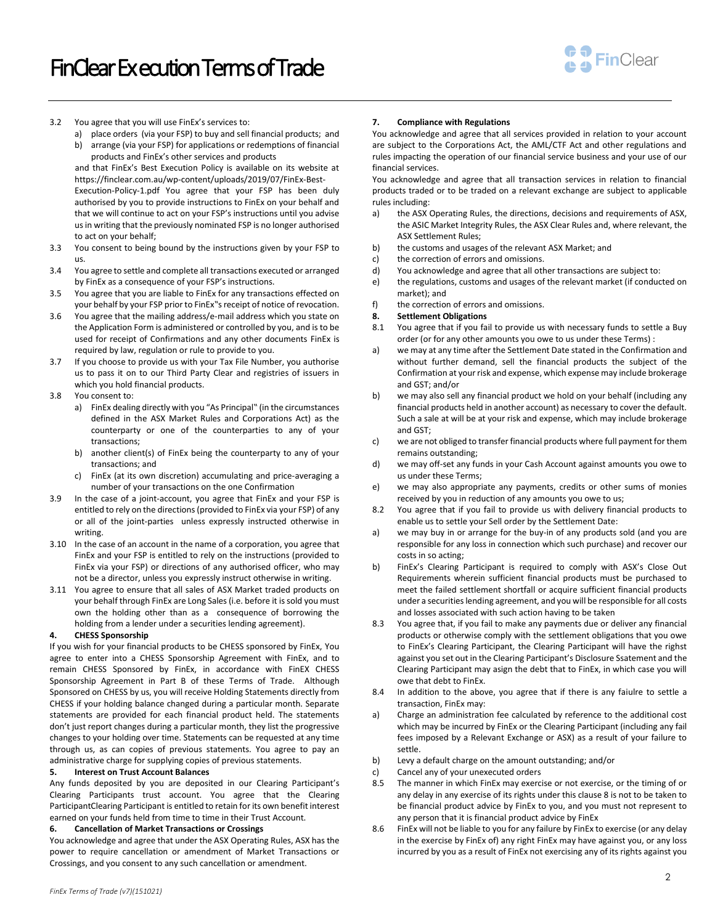

- 3.2 You agree that you will use FinEx's services to:
	- a) place orders (via your FSP) to buy and sell financial products; and b) arrange (via your FSP) for applications or redemptions of financial

products and FinEx's other services and products and that FinEx's Best Execution Policy is available on its website at

https://finclear.com.au/wp-content/uploads/2019/07/FinEx-Best-

Execution-Policy-1.pdf You agree that your FSP has been duly authorised by you to provide instructions to FinEx on your behalf and that we will continue to act on your FSP's instructions until you advise us in writing that the previously nominated FSP is no longer authorised to act on your behalf;

3.3 You consent to being bound by the instructions given by your FSP to us.

3.4 You agree to settle and complete all transactions executed or arranged by FinEx as a consequence of your FSP's instructions.

3.5 You agree that you are liable to FinEx for any transactions effected on your behalf by your FSP prior to FinEx"s receipt of notice of revocation.

- 3.6 You agree that the mailing address/e-mail address which you state on the Application Form is administered or controlled by you, and is to be used for receipt of Confirmations and any other documents FinEx is required by law, regulation or rule to provide to you.
- 3.7 If you choose to provide us with your Tax File Number, you authorise us to pass it on to our Third Party Clear and registries of issuers in which you hold financial products.
- 3.8 You consent to:
	- a) FinEx dealing directly with you "As Principal" (in the circumstances defined in the ASX Market Rules and Corporations Act) as the counterparty or one of the counterparties to any of your transactions;
	- b) another client(s) of FinEx being the counterparty to any of your transactions; and
	- c) FinEx (at its own discretion) accumulating and price-averaging a number of your transactions on the one Confirmation
- 3.9 In the case of a joint-account, you agree that FinEx and your FSP is entitled to rely on the directions (provided to FinEx via your FSP) of any or all of the joint-parties unless expressly instructed otherwise in writing.
- 3.10 In the case of an account in the name of a corporation, you agree that FinEx and your FSP is entitled to rely on the instructions (provided to FinEx via your FSP) or directions of any authorised officer, who may not be a director, unless you expressly instruct otherwise in writing.
- 3.11 You agree to ensure that all sales of ASX Market traded products on your behalf through FinEx are Long Sales (i.e. before it is sold you must own the holding other than as a consequence of borrowing the holding from a lender under a securities lending agreement).

## **4. CHESS Sponsorship**

If you wish for your financial products to be CHESS sponsored by FinEx, You agree to enter into a CHESS Sponsorship Agreement with FinEx, and to remain CHESS Sponsored by FinEx, in accordance with FinEX CHESS Sponsorship Agreement in Part B of these Terms of Trade. Although Sponsored on CHESS by us, you will receive Holding Statements directly from CHESS if your holding balance changed during a particular month. Separate statements are provided for each financial product held. The statements don't just report changes during a particular month, they list the progressive changes to your holding over time. Statements can be requested at any time through us, as can copies of previous statements. You agree to pay an administrative charge for supplying copies of previous statements.

# **5. Interest on Trust Account Balances**

Any funds deposited by you are deposited in our Clearing Participant's Clearing Participants trust account. You agree that the Clearing ParticipantClearing Participant is entitled to retain for its own benefit interest earned on your funds held from time to time in their Trust Account.

# **6. Cancellation of Market Transactions or Crossings**

You acknowledge and agree that under the ASX Operating Rules, ASX has the power to require cancellation or amendment of Market Transactions or Crossings, and you consent to any such cancellation or amendment.

# **7. Compliance with Regulations**

You acknowledge and agree that all services provided in relation to your account are subject to the Corporations Act, the AML/CTF Act and other regulations and rules impacting the operation of our financial service business and your use of our financial services.

You acknowledge and agree that all transaction services in relation to financial products traded or to be traded on a relevant exchange are subject to applicable rules including:

- a) the ASX Operating Rules, the directions, decisions and requirements of ASX, the ASIC Market Integrity Rules, the ASX Clear Rules and, where relevant, the ASX Settlement Rules;
- b) the customs and usages of the relevant ASX Market; and
- c) the correction of errors and omissions.
- d) You acknowledge and agree that all other transactions are subject to:
- e) the regulations, customs and usages of the relevant market (if conducted on market); and
- f) the correction of errors and omissions.

## <span id="page-1-0"></span>**8. Settlement Obligations**

- 8.1 You agree that if you fail to provide us with necessary funds to settle a Buy order (or for any other amounts you owe to us under these Terms) :
- a) we may at any time after the Settlement Date stated in the Confirmation and without further demand, sell the financial products the subject of the Confirmation at your risk and expense, which expense may include brokerage and GST; and/or
- b) we may also sell any financial product we hold on your behalf (including any financial products held in another account) as necessary to cover the default. Such a sale at will be at your risk and expense, which may include brokerage and GST;
- c) we are not obliged to transfer financial products where full payment for them remains outstanding;
- d) we may off-set any funds in your Cash Account against amounts you owe to us under these Terms;
- e) we may also appropriate any payments, credits or other sums of monies received by you in reduction of any amounts you owe to us;
- 8.2 You agree that if you fail to provide us with delivery financial products to enable us to settle your Sell order by the Settlement Date:
- a) we may buy in or arrange for the buy-in of any products sold (and you are responsible for any loss in connection which such purchase) and recover our costs in so acting;
- b) FinEx's Clearing Participant is required to comply with ASX's Close Out Requirements wherein sufficient financial products must be purchased to meet the failed settlement shortfall or acquire sufficient financial products under a securities lending agreement, and you will be responsible for all costs and losses associated with such action having to be taken
- 8.3 You agree that, if you fail to make any payments due or deliver any financial products or otherwise comply with the settlement obligations that you owe to FinEx's Clearing Participant, the Clearing Participant will have the righst against you set out in the Clearing Participant's Disclosure Ssatement and the Clearing Participant may asign the debt that to FinEx, in which case you will owe that debt to FinEx.
- 8.4 In addition to the above, you agree that if there is any faiulre to settle a transaction, FinEx may:
- a) Charge an administration fee calculated by reference to the additional cost which may be incurred by FinEx or the Clearing Participant (including any fail fees imposed by a Relevant Exchange or ASX) as a result of your failure to settle.
- b) Levy a default charge on the amount outstanding; and/or
- c) Cancel any of your unexecuted orders
- 8.5 The manner in which FinEx may exercise or not exercise, or the timing of or any delay in any exercise of its rights under this claus[e 8](#page-1-0) is not to be taken to be financial product advice by FinEx to you, and you must not represent to any person that it is financial product advice by FinEx
- 8.6 FinEx will not be liable to you for any failure by FinEx to exercise (or any delay in the exercise by FinEx of) any right FinEx may have against you, or any loss incurred by you as a result of FinEx not exercising any of its rights against you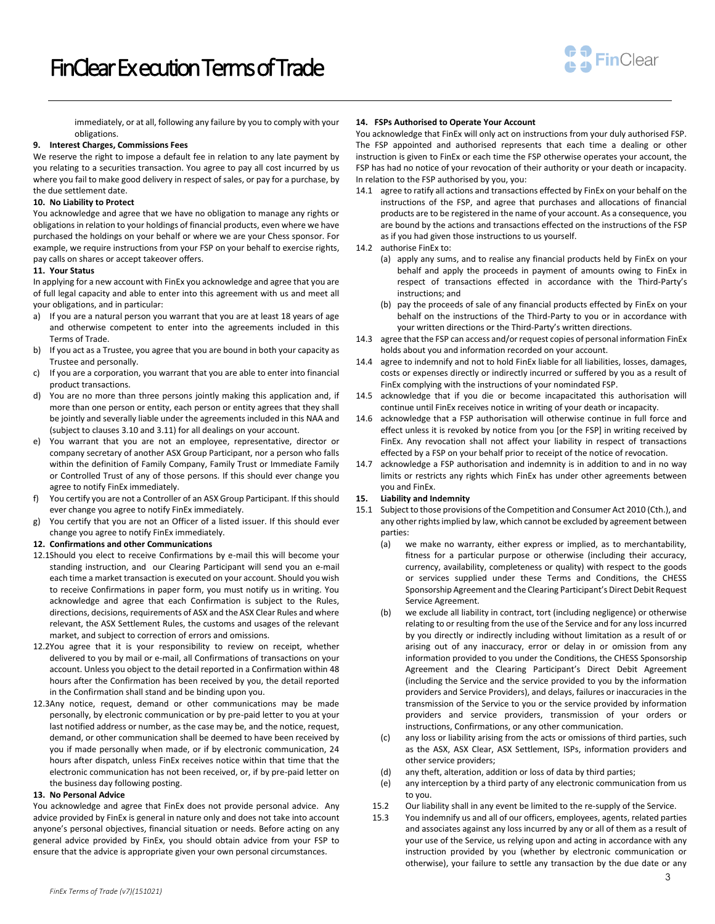

immediately, or at all, following any failure by you to comply with your obligations.

## **9. Interest Charges, Commissions Fees**

We reserve the right to impose a default fee in relation to any late payment by you relating to a securities transaction. You agree to pay all cost incurred by us where you fail to make good delivery in respect of sales, or pay for a purchase, by the due settlement date.

#### **10. No Liability to Protect**

You acknowledge and agree that we have no obligation to manage any rights or obligations in relation to your holdings of financial products, even where we have purchased the holdings on your behalf or where we are your Chess sponsor. For example, we require instructions from your FSP on your behalf to exercise rights, pay calls on shares or accept takeover offers.

#### **11. Your Status**

In applying for a new account with FinEx you acknowledge and agree that you are of full legal capacity and able to enter into this agreement with us and meet all your obligations, and in particular:

- a) If you are a natural person you warrant that you are at least 18 years of age and otherwise competent to enter into the agreements included in this Terms of Trade.
- b) If you act as a Trustee, you agree that you are bound in both your capacity as Trustee and personally.
- c) If you are a corporation, you warrant that you are able to enter into financial product transactions.
- d) You are no more than three persons jointly making this application and, if more than one person or entity, each person or entity agrees that they shall be jointly and severally liable under the agreements included in this NAA and (subject to clauses 3.10 and 3.11) for all dealings on your account.
- e) You warrant that you are not an employee, representative, director or company secretary of another ASX Group Participant, nor a person who falls within the definition of Family Company, Family Trust or Immediate Family or Controlled Trust of any of those persons. If this should ever change you agree to notify FinEx immediately.
- f) You certify you are not a Controller of an ASX Group Participant. If this should ever change you agree to notify FinEx immediately.
- g) You certify that you are not an Officer of a listed issuer. If this should ever change you agree to notify FinEx immediately.
- **12. Confirmations and other Communications**
- 12.1Should you elect to receive Confirmations by e-mail this will become your standing instruction, and our Clearing Participant will send you an e-mail each time a market transaction is executed on your account. Should you wish to receive Confirmations in paper form, you must notify us in writing. You acknowledge and agree that each Confirmation is subject to the Rules, directions, decisions, requirements of ASX and the ASX Clear Rules and where relevant, the ASX Settlement Rules, the customs and usages of the relevant market, and subject to correction of errors and omissions.
- 12.2You agree that it is your responsibility to review on receipt, whether delivered to you by mail or e-mail, all Confirmations of transactions on your account. Unless you object to the detail reported in a Confirmation within 48 hours after the Confirmation has been received by you, the detail reported in the Confirmation shall stand and be binding upon you.
- 12.3Any notice, request, demand or other communications may be made personally, by electronic communication or by pre-paid letter to you at your last notified address or number, as the case may be, and the notice, request, demand, or other communication shall be deemed to have been received by you if made personally when made, or if by electronic communication, 24 hours after dispatch, unless FinEx receives notice within that time that the electronic communication has not been received, or, if by pre-paid letter on the business day following posting.

## **13. No Personal Advice**

You acknowledge and agree that FinEx does not provide personal advice. Any advice provided by FinEx is general in nature only and does not take into account anyone's personal objectives, financial situation or needs. Before acting on any general advice provided by FinEx, you should obtain advice from your FSP to ensure that the advice is appropriate given your own personal circumstances.

## **14. FSPs Authorised to Operate Your Account**

You acknowledge that FinEx will only act on instructions from your duly authorised FSP. The FSP appointed and authorised represents that each time a dealing or other instruction is given to FinEx or each time the FSP otherwise operates your account, the FSP has had no notice of your revocation of their authority or your death or incapacity. In relation to the FSP authorised by you, you:

- 14.1 agree to ratify all actions and transactions effected by FinEx on your behalf on the instructions of the FSP, and agree that purchases and allocations of financial products are to be registered in the name of your account. As a consequence, you are bound by the actions and transactions effected on the instructions of the FSP as if you had given those instructions to us yourself.
- 14.2 authorise FinEx to:
	- (a) apply any sums, and to realise any financial products held by FinEx on your behalf and apply the proceeds in payment of amounts owing to FinEx in respect of transactions effected in accordance with the Third-Party's instructions; and
	- (b) pay the proceeds of sale of any financial products effected by FinEx on your behalf on the instructions of the Third-Party to you or in accordance with your written directions or the Third-Party's written directions.
- 14.3 agree that the FSP can access and/or request copies of personal information FinEx holds about you and information recorded on your account.
- 14.4 agree to indemnify and not to hold FinEx liable for all liabilities, losses, damages, costs or expenses directly or indirectly incurred or suffered by you as a result of FinEx complying with the instructions of your nomindated FSP.
- 14.5 acknowledge that if you die or become incapacitated this authorisation will continue until FinEx receives notice in writing of your death or incapacity.
- 14.6 acknowledge that a FSP authorisation will otherwise continue in full force and effect unless it is revoked by notice from you [or the FSP] in writing received by FinEx. Any revocation shall not affect your liability in respect of transactions effected by a FSP on your behalf prior to receipt of the notice of revocation.
- 14.7 acknowledge a FSP authorisation and indemnity is in addition to and in no way limits or restricts any rights which FinEx has under other agreements between you and FinEx.

# **15. Liability and Indemnity**

- 15.1 Subject to those provisions of the Competition and Consumer Act 2010 (Cth.), and any other rights implied by law, which cannot be excluded by agreement between parties:
	- (a) we make no warranty, either express or implied, as to merchantability, fitness for a particular purpose or otherwise (including their accuracy, currency, availability, completeness or quality) with respect to the goods or services supplied under these Terms and Conditions, the CHESS Sponsorship Agreement and the Clearing Participant's Direct Debit Request Service Agreement.
	- (b) we exclude all liability in contract, tort (including negligence) or otherwise relating to or resulting from the use of the Service and for any loss incurred by you directly or indirectly including without limitation as a result of or arising out of any inaccuracy, error or delay in or omission from any information provided to you under the Conditions, the CHESS Sponsorship Agreement and the Clearing Participant's Direct Debit Agreement (including the Service and the service provided to you by the information providers and Service Providers), and delays, failures or inaccuracies in the transmission of the Service to you or the service provided by information providers and service providers, transmission of your orders or instructions, Confirmations, or any other communication.
	- (c) any loss or liability arising from the acts or omissions of third parties, such as the ASX, ASX Clear, ASX Settlement, ISPs, information providers and other service providers;
	- (d) any theft, alteration, addition or loss of data by third parties;
	- (e) any interception by a third party of any electronic communication from us to you.
	- 15.2 Our liability shall in any event be limited to the re-supply of the Service.
	- 15.3 You indemnify us and all of our officers, employees, agents, related parties and associates against any loss incurred by any or all of them as a result of your use of the Service, us relying upon and acting in accordance with any instruction provided by you (whether by electronic communication or otherwise), your failure to settle any transaction by the due date or any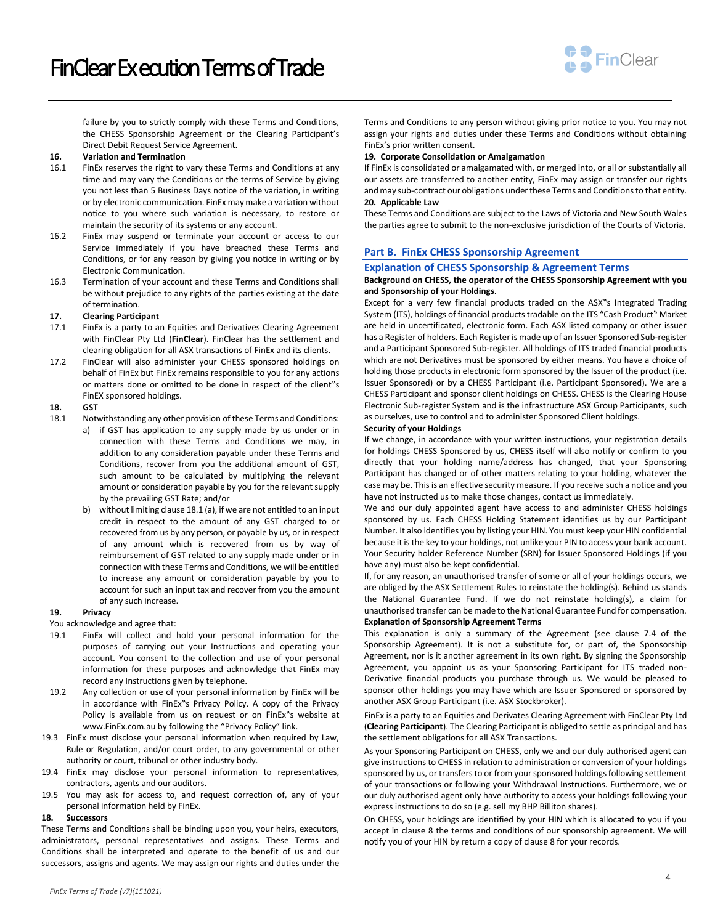

failure by you to strictly comply with these Terms and Conditions, the CHESS Sponsorship Agreement or the Clearing Participant's Direct Debit Request Service Agreement.

## **16. Variation and Termination**

- 16.1 FinEx reserves the right to vary these Terms and Conditions at any time and may vary the Conditions or the terms of Service by giving you not less than 5 Business Days notice of the variation, in writing or by electronic communication. FinEx may make a variation without notice to you where such variation is necessary, to restore or maintain the security of its systems or any account.
- 16.2 FinEx may suspend or terminate your account or access to our Service immediately if you have breached these Terms and Conditions, or for any reason by giving you notice in writing or by Electronic Communication.
- 16.3 Termination of your account and these Terms and Conditions shall be without prejudice to any rights of the parties existing at the date of termination.

#### **17. Clearing Participant**

- 17.1 FinEx is a party to an Equities and Derivatives Clearing Agreement with FinClear Pty Ltd (**FinClear**). FinClear has the settlement and clearing obligation for all ASX transactions of FinEx and its clients.
- 17.2 FinClear will also administer your CHESS sponsored holdings on behalf of FinEx but FinEx remains responsible to you for any actions or matters done or omitted to be done in respect of the client"s FinEX sponsored holdings.

## **18. GST**

- 18.1 Notwithstanding any other provision of these Terms and Conditions:
	- a) if GST has application to any supply made by us under or in connection with these Terms and Conditions we may, in addition to any consideration payable under these Terms and Conditions, recover from you the additional amount of GST, such amount to be calculated by multiplying the relevant amount or consideration payable by you for the relevant supply by the prevailing GST Rate; and/or
	- b) without limiting clause 18.1 (a), if we are not entitled to an input credit in respect to the amount of any GST charged to or recovered from us by any person, or payable by us, or in respect of any amount which is recovered from us by way of reimbursement of GST related to any supply made under or in connection with these Terms and Conditions, we will be entitled to increase any amount or consideration payable by you to account for such an input tax and recover from you the amount of any such increase.

## **19. Privacy**

You acknowledge and agree that:

- 19.1 FinEx will collect and hold your personal information for the purposes of carrying out your Instructions and operating your account. You consent to the collection and use of your personal information for these purposes and acknowledge that FinEx may record any Instructions given by telephone.
- 19.2 Any collection or use of your personal information by FinEx will be in accordance with FinEx"s Privacy Policy. A copy of the Privacy Policy is available from us on request or on FinEx"s website at www.FinEx.com.au by following the "Privacy Policy" link.
- 19.3 FinEx must disclose your personal information when required by Law, Rule or Regulation, and/or court order, to any governmental or other authority or court, tribunal or other industry body.
- 19.4 FinEx may disclose your personal information to representatives, contractors, agents and our auditors.
- 19.5 You may ask for access to, and request correction of, any of your personal information held by FinEx.

#### **18. Successors**

These Terms and Conditions shall be binding upon you, your heirs, executors, administrators, personal representatives and assigns. These Terms and Conditions shall be interpreted and operate to the benefit of us and our successors, assigns and agents. We may assign our rights and duties under the Terms and Conditions to any person without giving prior notice to you. You may not assign your rights and duties under these Terms and Conditions without obtaining FinEx's prior written consent.

## **19. Corporate Consolidation or Amalgamation**

If FinEx is consolidated or amalgamated with, or merged into, or all or substantially all our assets are transferred to another entity, FinEx may assign or transfer our rights and may sub-contract our obligations under these Terms and Conditions to that entity. **20. Applicable Law**

These Terms and Conditions are subject to the Laws of Victoria and New South Wales the parties agree to submit to the non-exclusive jurisdiction of the Courts of Victoria.

## **Part B. FinEx CHESS Sponsorship Agreement**

# **Explanation of CHESS Sponsorship & Agreement Terms**

## **Background on CHESS, the operator of the CHESS Sponsorship Agreement with you and Sponsorship of your Holdings**.

Except for a very few financial products traded on the ASX"s Integrated Trading System (ITS), holdings of financial products tradable on the ITS "Cash Product" Market are held in uncertificated, electronic form. Each ASX listed company or other issuer has a Register of holders. Each Register is made up of an Issuer Sponsored Sub-register and a Participant Sponsored Sub-register. All holdings of ITS traded financial products which are not Derivatives must be sponsored by either means. You have a choice of holding those products in electronic form sponsored by the Issuer of the product (i.e. Issuer Sponsored) or by a CHESS Participant (i.e. Participant Sponsored). We are a CHESS Participant and sponsor client holdings on CHESS. CHESS is the Clearing House Electronic Sub-register System and is the infrastructure ASX Group Participants, such as ourselves, use to control and to administer Sponsored Client holdings.

## **Security of your Holdings**

If we change, in accordance with your written instructions, your registration details for holdings CHESS Sponsored by us, CHESS itself will also notify or confirm to you directly that your holding name/address has changed, that your Sponsoring Participant has changed or of other matters relating to your holding, whatever the case may be. This is an effective security measure. If you receive such a notice and you have not instructed us to make those changes, contact us immediately.

We and our duly appointed agent have access to and administer CHESS holdings sponsored by us. Each CHESS Holding Statement identifies us by our Participant Number. It also identifies you by listing your HIN. You must keep your HIN confidential because it is the key to your holdings, not unlike your PIN to access your bank account. Your Security holder Reference Number (SRN) for Issuer Sponsored Holdings (if you have any) must also be kept confidential.

If, for any reason, an unauthorised transfer of some or all of your holdings occurs, we are obliged by the ASX Settlement Rules to reinstate the holding(s). Behind us stands the National Guarantee Fund. If we do not reinstate holding(s), a claim for unauthorised transfer can be made to the National Guarantee Fund for compensation. **Explanation of Sponsorship Agreement Terms**

This explanation is only a summary of the Agreement (see clause 7.4 of the Sponsorship Agreement). It is not a substitute for, or part of, the Sponsorship Agreement, nor is it another agreement in its own right. By signing the Sponsorship Agreement, you appoint us as your Sponsoring Participant for ITS traded non-Derivative financial products you purchase through us. We would be pleased to sponsor other holdings you may have which are Issuer Sponsored or sponsored by another ASX Group Participant (i.e. ASX Stockbroker).

FinEx is a party to an Equities and Derivates Clearing Agreement with FinClear Pty Ltd (**Clearing Participant**). The Clearing Participant is obliged to settle as principal and has the settlement obligations for all ASX Transactions.

As your Sponsoring Participant on CHESS, only we and our duly authorised agent can give instructions to CHESS in relation to administration or conversion of your holdings sponsored by us, or transfers to or from your sponsored holdings following settlement of your transactions or following your Withdrawal Instructions. Furthermore, we or our duly authorised agent only have authority to access your holdings following your express instructions to do so (e.g. sell my BHP Billiton shares).

On CHESS, your holdings are identified by your HIN which is allocated to you if you accept in clause 8 the terms and conditions of our sponsorship agreement. We will notify you of your HIN by return a copy of clause 8 for your records.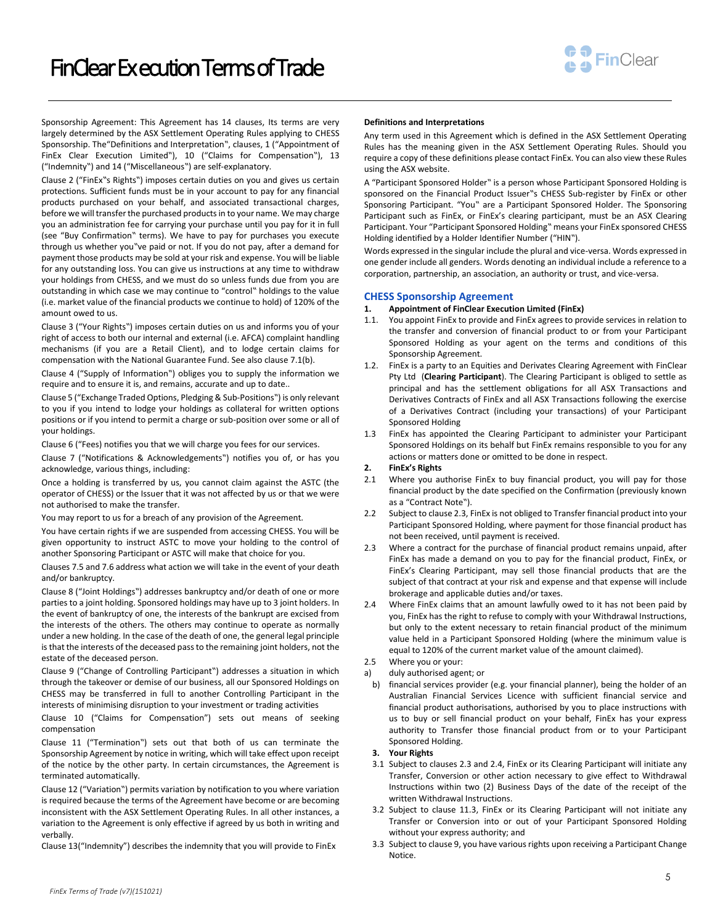

Sponsorship Agreement: This Agreement has 14 clauses, Its terms are very largely determined by the ASX Settlement Operating Rules applying to CHESS Sponsorship. The"Definitions and Interpretation", clauses, 1 ("Appointment of FinEx Clear Execution Limited"), 10 ("Claims for Compensation"), 13 ("Indemnity") and 14 ("Miscellaneous") are self-explanatory.

Clause 2 ("FinEx"s Rights") imposes certain duties on you and gives us certain protections. Sufficient funds must be in your account to pay for any financial products purchased on your behalf, and associated transactional charges, before we will transfer the purchased products in to your name. We may charge you an administration fee for carrying your purchase until you pay for it in full (see "Buy Confirmation" terms). We have to pay for purchases you execute through us whether you"ve paid or not. If you do not pay, after a demand for payment those products may be sold at your risk and expense. You will be liable for any outstanding loss. You can give us instructions at any time to withdraw your holdings from CHESS, and we must do so unless funds due from you are outstanding in which case we may continue to "control" holdings to the value (i.e. market value of the financial products we continue to hold) of 120% of the amount owed to us.

Clause 3 ("Your Rights") imposes certain duties on us and informs you of your right of access to both our internal and external (i.e. AFCA) complaint handling mechanisms (if you are a Retail Client), and to lodge certain claims for compensation with the National Guarantee Fund. See also clause 7.1(b).

Clause 4 ("Supply of Information") obliges you to supply the information we require and to ensure it is, and remains, accurate and up to date..

Clause 5 ("Exchange Traded Options, Pledging & Sub-Positions") is only relevant to you if you intend to lodge your holdings as collateral for written options positions or if you intend to permit a charge or sub-position over some or all of your holdings.

Clause 6 ("Fees) notifies you that we will charge you fees for our services.

Clause 7 ("Notifications & Acknowledgements") notifies you of, or has you acknowledge, various things, including:

Once a holding is transferred by us, you cannot claim against the ASTC (the operator of CHESS) or the Issuer that it was not affected by us or that we were not authorised to make the transfer.

You may report to us for a breach of any provision of the Agreement.

You have certain rights if we are suspended from accessing CHESS. You will be given opportunity to instruct ASTC to move your holding to the control of another Sponsoring Participant or ASTC will make that choice for you.

Clauses 7.5 and 7.6 address what action we will take in the event of your death and/or bankruptcy.

Clause 8 ("Joint Holdings") addresses bankruptcy and/or death of one or more parties to a joint holding. Sponsored holdings may have up to 3 joint holders. In the event of bankruptcy of one, the interests of the bankrupt are excised from the interests of the others. The others may continue to operate as normally under a new holding. In the case of the death of one, the general legal principle is that the interests of the deceased pass to the remaining joint holders, not the estate of the deceased person.

Clause 9 ("Change of Controlling Participant") addresses a situation in which through the takeover or demise of our business, all our Sponsored Holdings on CHESS may be transferred in full to another Controlling Participant in the interests of minimising disruption to your investment or trading activities

Clause 10 ("Claims for Compensation") sets out means of seeking compensation

Clause 11 ("Termination") sets out that both of us can terminate the Sponsorship Agreement by notice in writing, which will take effect upon receipt of the notice by the other party. In certain circumstances, the Agreement is terminated automatically.

Clause 12 ("Variation") permits variation by notification to you where variation is required because the terms of the Agreement have become or are becoming inconsistent with the ASX Settlement Operating Rules. In all other instances, a variation to the Agreement is only effective if agreed by us both in writing and verbally.

Clause 13("Indemnity") describes the indemnity that you will provide to FinEx

#### **Definitions and Interpretations**

Any term used in this Agreement which is defined in the ASX Settlement Operating Rules has the meaning given in the ASX Settlement Operating Rules. Should you require a copy of these definitions please contact FinEx. You can also view these Rules using the ASX website.

A "Participant Sponsored Holder" is a person whose Participant Sponsored Holding is sponsored on the Financial Product Issuer"s CHESS Sub-register by FinEx or other Sponsoring Participant. "You" are a Participant Sponsored Holder. The Sponsoring Participant such as FinEx, or FinEx's clearing participant, must be an ASX Clearing Participant. Your "Participant Sponsored Holding" means your FinEx sponsored CHESS Holding identified by a Holder Identifier Number ("HIN").

Words expressed in the singular include the plural and vice-versa. Words expressed in one gender include all genders. Words denoting an individual include a reference to a corporation, partnership, an association, an authority or trust, and vice-versa.

# **CHESS Sponsorship Agreement**

## **1. Appointment of FinClear Execution Limited (FinEx)**

- 1.1. You appoint FinEx to provide and FinEx agrees to provide services in relation to the transfer and conversion of financial product to or from your Participant Sponsored Holding as your agent on the terms and conditions of this Sponsorship Agreement.
- 1.2. FinEx is a party to an Equities and Derivates Clearing Agreement with FinClear Pty Ltd (**Clearing Participant**). The Clearing Participant is obliged to settle as principal and has the settlement obligations for all ASX Transactions and Derivatives Contracts of FinEx and all ASX Transactions following the exercise of a Derivatives Contract (including your transactions) of your Participant Sponsored Holding
- 1.3 FinEx has appointed the Clearing Participant to administer your Participant Sponsored Holdings on its behalf but FinEx remains responsible to you for any actions or matters done or omitted to be done in respect.
- **2. FinEx's Rights**
- 2.1 Where you authorise FinEx to buy financial product, you will pay for those financial product by the date specified on the Confirmation (previously known as a "Contract Note").
- 2.2 Subject to clause 2.3, FinEx is not obliged to Transfer financial product into your Participant Sponsored Holding, where payment for those financial product has not been received, until payment is received.
- 2.3 Where a contract for the purchase of financial product remains unpaid, after FinEx has made a demand on you to pay for the financial product, FinEx, or FinEx's Clearing Participant, may sell those financial products that are the subject of that contract at your risk and expense and that expense will include brokerage and applicable duties and/or taxes.
- 2.4 Where FinEx claims that an amount lawfully owed to it has not been paid by you, FinEx has the right to refuse to comply with your Withdrawal Instructions, but only to the extent necessary to retain financial product of the minimum value held in a Participant Sponsored Holding (where the minimum value is equal to 120% of the current market value of the amount claimed).
- 2.5 Where you or your:
- a) duly authorised agent; or
- b) financial services provider (e.g. your financial planner), being the holder of an Australian Financial Services Licence with sufficient financial service and financial product authorisations, authorised by you to place instructions with us to buy or sell financial product on your behalf, FinEx has your express authority to Transfer those financial product from or to your Participant Sponsored Holding.

#### **3. Your Rights**

- 3.1 Subject to clauses 2.3 and 2.4, FinEx or its Clearing Participant will initiate any Transfer, Conversion or other action necessary to give effect to Withdrawal Instructions within two (2) Business Days of the date of the receipt of the written Withdrawal Instructions.
- 3.2 Subject to clause 11.3, FinEx or its Clearing Participant will not initiate any Transfer or Conversion into or out of your Participant Sponsored Holding without your express authority; and
- 3.3 Subject to clause 9, you have various rights upon receiving a Participant Change Notice.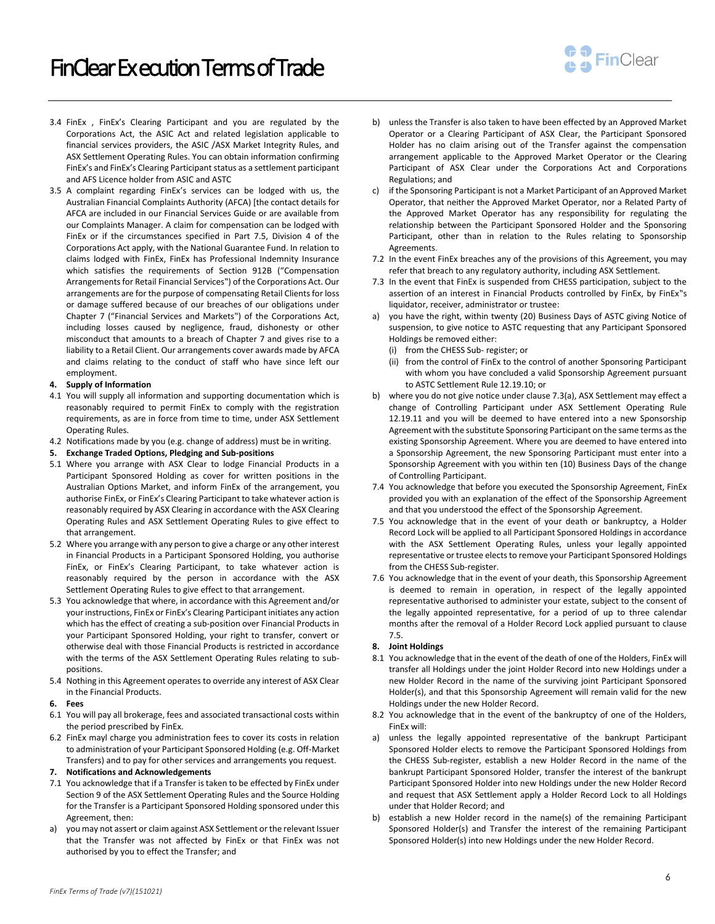

- 3.4 FinEx , FinEx's Clearing Participant and you are regulated by the Corporations Act, the ASIC Act and related legislation applicable to financial services providers, the ASIC /ASX Market Integrity Rules, and ASX Settlement Operating Rules. You can obtain information confirming FinEx's and FinEx's Clearing Participant status as a settlement participant and AFS Licence holder from ASIC and ASTC
- 3.5 A complaint regarding FinEx's services can be lodged with us, the Australian Financial Complaints Authority (AFCA) [the contact details for AFCA are included in our Financial Services Guide or are available from our Complaints Manager. A claim for compensation can be lodged with FinEx or if the circumstances specified in Part 7.5, Division 4 of the Corporations Act apply, with the National Guarantee Fund. In relation to claims lodged with FinEx, FinEx has Professional Indemnity Insurance which satisfies the requirements of Section 912B ("Compensation Arrangements for Retail Financial Services") of the Corporations Act. Our arrangements are for the purpose of compensating Retail Clients for loss or damage suffered because of our breaches of our obligations under Chapter 7 ("Financial Services and Markets") of the Corporations Act, including losses caused by negligence, fraud, dishonesty or other misconduct that amounts to a breach of Chapter 7 and gives rise to a liability to a Retail Client. Our arrangements cover awards made by AFCA and claims relating to the conduct of staff who have since left our employment.

## **4. Supply of Information**

- 4.1 You will supply all information and supporting documentation which is reasonably required to permit FinEx to comply with the registration requirements, as are in force from time to time, under ASX Settlement Operating Rules.
- 4.2 Notifications made by you (e.g. change of address) must be in writing.
- **5. Exchange Traded Options, Pledging and Sub-positions**
- 5.1 Where you arrange with ASX Clear to lodge Financial Products in a Participant Sponsored Holding as cover for written positions in the Australian Options Market, and inform FinEx of the arrangement, you authorise FinEx, or FinEx's Clearing Participant to take whatever action is reasonably required by ASX Clearing in accordance with the ASX Clearing Operating Rules and ASX Settlement Operating Rules to give effect to that arrangement.
- 5.2 Where you arrange with any person to give a charge or any other interest in Financial Products in a Participant Sponsored Holding, you authorise FinEx, or FinEx's Clearing Participant, to take whatever action is reasonably required by the person in accordance with the ASX Settlement Operating Rules to give effect to that arrangement.
- 5.3 You acknowledge that where, in accordance with this Agreement and/or your instructions, FinEx or FinEx's Clearing Participant initiates any action which has the effect of creating a sub-position over Financial Products in your Participant Sponsored Holding, your right to transfer, convert or otherwise deal with those Financial Products is restricted in accordance with the terms of the ASX Settlement Operating Rules relating to subpositions.
- 5.4 Nothing in this Agreement operates to override any interest of ASX Clear in the Financial Products.
- **6. Fees**
- 6.1 You will pay all brokerage, fees and associated transactional costs within the period prescribed by FinEx.
- 6.2 FinEx mayl charge you administration fees to cover its costs in relation to administration of your Participant Sponsored Holding (e.g. Off-Market Transfers) and to pay for other services and arrangements you request.

## **7. Notifications and Acknowledgements**

- 7.1 You acknowledge that if a Transfer is taken to be effected by FinEx under Section 9 of the ASX Settlement Operating Rules and the Source Holding for the Transfer is a Participant Sponsored Holding sponsored under this Agreement, then:
- a) you may not assert or claim against ASX Settlement or the relevant Issuer that the Transfer was not affected by FinEx or that FinEx was not authorised by you to effect the Transfer; and
- b) unless the Transfer is also taken to have been effected by an Approved Market Operator or a Clearing Participant of ASX Clear, the Participant Sponsored Holder has no claim arising out of the Transfer against the compensation arrangement applicable to the Approved Market Operator or the Clearing Participant of ASX Clear under the Corporations Act and Corporations Regulations; and
- c) if the Sponsoring Participant is not a Market Participant of an Approved Market Operator, that neither the Approved Market Operator, nor a Related Party of the Approved Market Operator has any responsibility for regulating the relationship between the Participant Sponsored Holder and the Sponsoring Participant, other than in relation to the Rules relating to Sponsorship Agreements.
- 7.2 In the event FinEx breaches any of the provisions of this Agreement, you may refer that breach to any regulatory authority, including ASX Settlement.
- 7.3 In the event that FinEx is suspended from CHESS participation, subject to the assertion of an interest in Financial Products controlled by FinEx, by FinEx"s liquidator, receiver, administrator or trustee:
- you have the right, within twenty (20) Business Days of ASTC giving Notice of suspension, to give notice to ASTC requesting that any Participant Sponsored Holdings be removed either:
	- (i) from the CHESS Sub- register; or
	- (ii) from the control of FinEx to the control of another Sponsoring Participant with whom you have concluded a valid Sponsorship Agreement pursuant to ASTC Settlement Rule 12.19.10; or
- b) where you do not give notice under clause 7.3(a), ASX Settlement may effect a change of Controlling Participant under ASX Settlement Operating Rule 12.19.11 and you will be deemed to have entered into a new Sponsorship Agreement with the substitute Sponsoring Participant on the same terms as the existing Sponsorship Agreement. Where you are deemed to have entered into a Sponsorship Agreement, the new Sponsoring Participant must enter into a Sponsorship Agreement with you within ten (10) Business Days of the change of Controlling Participant.
- 7.4 You acknowledge that before you executed the Sponsorship Agreement, FinEx provided you with an explanation of the effect of the Sponsorship Agreement and that you understood the effect of the Sponsorship Agreement.
- 7.5 You acknowledge that in the event of your death or bankruptcy, a Holder Record Lock will be applied to all Participant Sponsored Holdings in accordance with the ASX Settlement Operating Rules, unless your legally appointed representative or trustee elects to remove your Participant Sponsored Holdings from the CHESS Sub-register.
- 7.6 You acknowledge that in the event of your death, this Sponsorship Agreement is deemed to remain in operation, in respect of the legally appointed representative authorised to administer your estate, subject to the consent of the legally appointed representative, for a period of up to three calendar months after the removal of a Holder Record Lock applied pursuant to clause 7.5.

## **8. Joint Holdings**

- 8.1 You acknowledge that in the event of the death of one of the Holders, FinEx will transfer all Holdings under the joint Holder Record into new Holdings under a new Holder Record in the name of the surviving joint Participant Sponsored Holder(s), and that this Sponsorship Agreement will remain valid for the new Holdings under the new Holder Record.
- 8.2 You acknowledge that in the event of the bankruptcy of one of the Holders, FinEx will:
- a) unless the legally appointed representative of the bankrupt Participant Sponsored Holder elects to remove the Participant Sponsored Holdings from the CHESS Sub-register, establish a new Holder Record in the name of the bankrupt Participant Sponsored Holder, transfer the interest of the bankrupt Participant Sponsored Holder into new Holdings under the new Holder Record and request that ASX Settlement apply a Holder Record Lock to all Holdings under that Holder Record; and
- b) establish a new Holder record in the name(s) of the remaining Participant Sponsored Holder(s) and Transfer the interest of the remaining Participant Sponsored Holder(s) into new Holdings under the new Holder Record.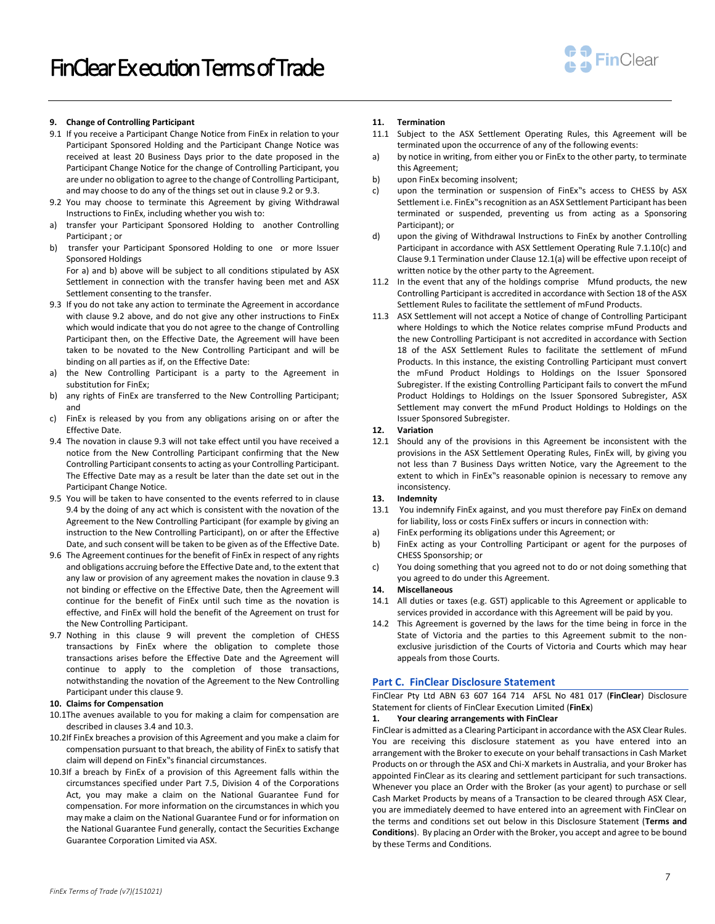

## **9. Change of Controlling Participant**

- 9.1 If you receive a Participant Change Notice from FinEx in relation to your Participant Sponsored Holding and the Participant Change Notice was received at least 20 Business Days prior to the date proposed in the Participant Change Notice for the change of Controlling Participant, you are under no obligation to agree to the change of Controlling Participant, and may choose to do any of the things set out in clause 9.2 or 9.3.
- 9.2 You may choose to terminate this Agreement by giving Withdrawal Instructions to FinEx, including whether you wish to:
- a) transfer your Participant Sponsored Holding to another Controlling Participant ; or
- b) transfer your Participant Sponsored Holding to one or more Issuer Sponsored Holdings

For a) and b) above will be subject to all conditions stipulated by ASX Settlement in connection with the transfer having been met and ASX Settlement consenting to the transfer.

- 9.3 If you do not take any action to terminate the Agreement in accordance with clause 9.2 above, and do not give any other instructions to FinEx which would indicate that you do not agree to the change of Controlling Participant then, on the Effective Date, the Agreement will have been taken to be novated to the New Controlling Participant and will be binding on all parties as if, on the Effective Date:
- a) the New Controlling Participant is a party to the Agreement in substitution for FinEx;
- b) any rights of FinEx are transferred to the New Controlling Participant; and
- c) FinEx is released by you from any obligations arising on or after the Effective Date.
- 9.4 The novation in clause 9.3 will not take effect until you have received a notice from the New Controlling Participant confirming that the New Controlling Participant consents to acting as your Controlling Participant. The Effective Date may as a result be later than the date set out in the Participant Change Notice.
- 9.5 You will be taken to have consented to the events referred to in clause 9.4 by the doing of any act which is consistent with the novation of the Agreement to the New Controlling Participant (for example by giving an instruction to the New Controlling Participant), on or after the Effective Date, and such consent will be taken to be given as of the Effective Date.
- 9.6 The Agreement continues for the benefit of FinEx in respect of any rights and obligations accruing before the Effective Date and, to the extent that any law or provision of any agreement makes the novation in clause 9.3 not binding or effective on the Effective Date, then the Agreement will continue for the benefit of FinEx until such time as the novation is effective, and FinEx will hold the benefit of the Agreement on trust for the New Controlling Participant.
- 9.7 Nothing in this clause 9 will prevent the completion of CHESS transactions by FinEx where the obligation to complete those transactions arises before the Effective Date and the Agreement will continue to apply to the completion of those transactions, notwithstanding the novation of the Agreement to the New Controlling Participant under this clause 9.

#### **10. Claims for Compensation**

- 10.1The avenues available to you for making a claim for compensation are described in clauses 3.4 and 10.3.
- 10.2If FinEx breaches a provision of this Agreement and you make a claim for compensation pursuant to that breach, the ability of FinEx to satisfy that claim will depend on FinEx"s financial circumstances.
- 10.3If a breach by FinEx of a provision of this Agreement falls within the circumstances specified under Part 7.5, Division 4 of the Corporations Act, you may make a claim on the National Guarantee Fund for compensation. For more information on the circumstances in which you may make a claim on the National Guarantee Fund or for information on the National Guarantee Fund generally, contact the Securities Exchange Guarantee Corporation Limited via ASX.

#### **11. Termination**

- 11.1 Subject to the ASX Settlement Operating Rules, this Agreement will be terminated upon the occurrence of any of the following events:
- a) by notice in writing, from either you or FinEx to the other party, to terminate this Agreement;
- b) upon FinEx becoming insolvent;
- c) upon the termination or suspension of FinEx"s access to CHESS by ASX Settlement i.e. FinEx"s recognition as an ASX Settlement Participant has been terminated or suspended, preventing us from acting as a Sponsoring Participant); or
- d) upon the giving of Withdrawal Instructions to FinEx by another Controlling Participant in accordance with ASX Settlement Operating Rule 7.1.10(c) and Clause 9.1 Termination under Clause 12.1(a) will be effective upon receipt of written notice by the other party to the Agreement.
- 11.2 In the event that any of the holdings comprise Mfund products, the new Controlling Participant is accredited in accordance with Section 18 of the ASX Settlement Rules to facilitate the settlement of mFund Products.
- 11.3 ASX Settlement will not accept a Notice of change of Controlling Participant where Holdings to which the Notice relates comprise mFund Products and the new Controlling Participant is not accredited in accordance with Section 18 of the ASX Settlement Rules to facilitate the settlement of mFund Products. In this instance, the existing Controlling Participant must convert the mFund Product Holdings to Holdings on the Issuer Sponsored Subregister. If the existing Controlling Participant fails to convert the mFund Product Holdings to Holdings on the Issuer Sponsored Subregister, ASX Settlement may convert the mFund Product Holdings to Holdings on the Issuer Sponsored Subregister.

#### **12. Variation**

12.1 Should any of the provisions in this Agreement be inconsistent with the provisions in the ASX Settlement Operating Rules, FinEx will, by giving you not less than 7 Business Days written Notice, vary the Agreement to the extent to which in FinEx"s reasonable opinion is necessary to remove any inconsistency.

# **13. Indemnity**

- 13.1 You indemnify FinEx against, and you must therefore pay FinEx on demand for liability, loss or costs FinEx suffers or incurs in connection with:
- a) FinEx performing its obligations under this Agreement; or
- b) FinEx acting as your Controlling Participant or agent for the purposes of CHESS Sponsorship; or
- c) You doing something that you agreed not to do or not doing something that you agreed to do under this Agreement.

## **14. Miscellaneous**

- 14.1 All duties or taxes (e.g. GST) applicable to this Agreement or applicable to services provided in accordance with this Agreement will be paid by you.
- 14.2 This Agreement is governed by the laws for the time being in force in the State of Victoria and the parties to this Agreement submit to the nonexclusive jurisdiction of the Courts of Victoria and Courts which may hear appeals from those Courts.

#### **Part C. FinClear Disclosure Statement**

FinClear Pty Ltd ABN 63 607 164 714 AFSL No 481 017 (**FinClear**) Disclosure Statement for clients of FinClear Execution Limited (**FinEx**)

## **1. Your clearing arrangements with FinClear**

FinClear is admitted as a Clearing Participant in accordance with the ASX Clear Rules. You are receiving this disclosure statement as you have entered into an arrangement with the Broker to execute on your behalf transactions in Cash Market Products on or through the ASX and Chi-X markets in Australia, and your Broker has appointed FinClear as its clearing and settlement participant for such transactions. Whenever you place an Order with the Broker (as your agent) to purchase or sell Cash Market Products by means of a Transaction to be cleared through ASX Clear, you are immediately deemed to have entered into an agreement with FinClear on the terms and conditions set out below in this Disclosure Statement (**Terms and Conditions**). By placing an Order with the Broker, you accept and agree to be bound by these Terms and Conditions.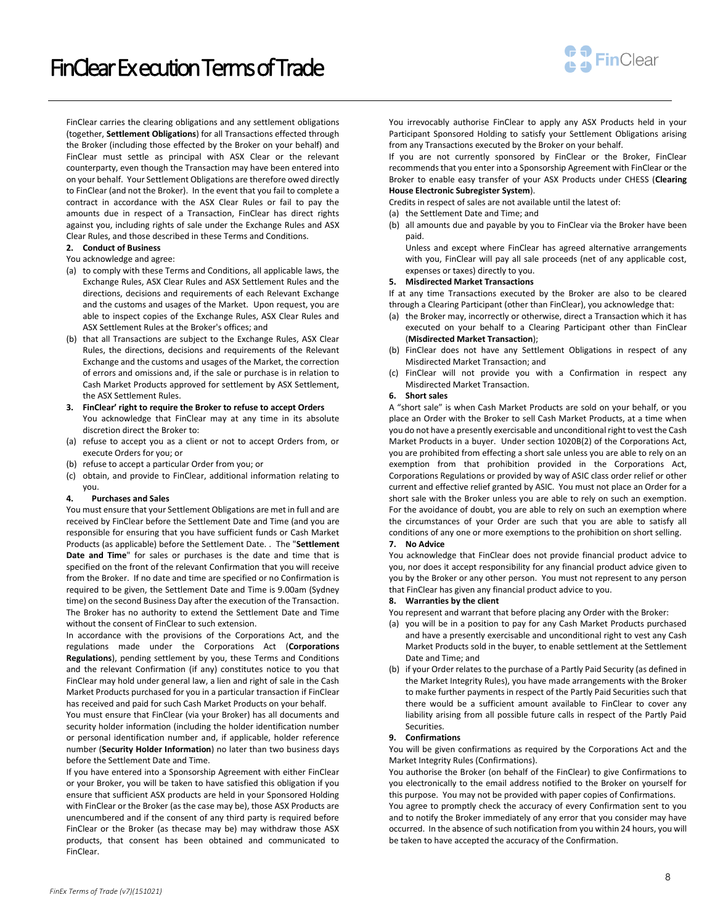FinClear Ex ecution Terms of Trade



FinClear carries the clearing obligations and any settlement obligations (together, **Settlement Obligations**) for all Transactions effected through the Broker (including those effected by the Broker on your behalf) and FinClear must settle as principal with ASX Clear or the relevant counterparty, even though the Transaction may have been entered into on your behalf. Your Settlement Obligations are therefore owed directly to FinClear (and not the Broker). In the event that you fail to complete a contract in accordance with the ASX Clear Rules or fail to pay the amounts due in respect of a Transaction, FinClear has direct rights against you, including rights of sale under the Exchange Rules and ASX Clear Rules, and those described in these Terms and Conditions.

#### **2. Conduct of Business**

#### You acknowledge and agree:

- (a) to comply with these Terms and Conditions, all applicable laws, the Exchange Rules, ASX Clear Rules and ASX Settlement Rules and the directions, decisions and requirements of each Relevant Exchange and the customs and usages of the Market. Upon request, you are able to inspect copies of the Exchange Rules, ASX Clear Rules and ASX Settlement Rules at the Broker's offices; and
- (b) that all Transactions are subject to the Exchange Rules, ASX Clear Rules, the directions, decisions and requirements of the Relevant Exchange and the customs and usages of the Market, the correction of errors and omissions and, if the sale or purchase is in relation to Cash Market Products approved for settlement by ASX Settlement, the ASX Settlement Rules.
- **3. FinClear' right to require the Broker to refuse to accept Orders** You acknowledge that FinClear may at any time in its absolute discretion direct the Broker to:
- (a) refuse to accept you as a client or not to accept Orders from, or execute Orders for you; or
- (b) refuse to accept a particular Order from you; or
- (c) obtain, and provide to FinClear, additional information relating to you.

#### **4. Purchases and Sales**

You must ensure that your Settlement Obligations are met in full and are received by FinClear before the Settlement Date and Time (and you are responsible for ensuring that you have sufficient funds or Cash Market Products (as applicable) before the Settlement Date. . The "**Settlement Date and Time**" for sales or purchases is the date and time that is specified on the front of the relevant Confirmation that you will receive from the Broker. If no date and time are specified or no Confirmation is required to be given, the Settlement Date and Time is 9.00am (Sydney time) on the second Business Day after the execution of the Transaction. The Broker has no authority to extend the Settlement Date and Time without the consent of FinClear to such extension.

In accordance with the provisions of the Corporations Act, and the regulations made under the Corporations Act (**Corporations Regulations**), pending settlement by you, these Terms and Conditions and the relevant Confirmation (if any) constitutes notice to you that FinClear may hold under general law, a lien and right of sale in the Cash Market Products purchased for you in a particular transaction if FinClear has received and paid for such Cash Market Products on your behalf.

You must ensure that FinClear (via your Broker) has all documents and security holder information (including the holder identification number or personal identification number and, if applicable, holder reference number (**Security Holder Information**) no later than two business days before the Settlement Date and Time.

If you have entered into a Sponsorship Agreement with either FinClear or your Broker, you will be taken to have satisfied this obligation if you ensure that sufficient ASX products are held in your Sponsored Holding with FinClear or the Broker (as the case may be), those ASX Products are unencumbered and if the consent of any third party is required before FinClear or the Broker (as thecase may be) may withdraw those ASX products, that consent has been obtained and communicated to FinClear.

You irrevocably authorise FinClear to apply any ASX Products held in your Participant Sponsored Holding to satisfy your Settlement Obligations arising from any Transactions executed by the Broker on your behalf.

If you are not currently sponsored by FinClear or the Broker, FinClear recommends that you enter into a Sponsorship Agreement with FinClear or the Broker to enable easy transfer of your ASX Products under CHESS (**Clearing House Electronic Subregister System**).

Credits in respect of sales are not available until the latest of:

- (a) the Settlement Date and Time; and
- (b) all amounts due and payable by you to FinClear via the Broker have been paid.

Unless and except where FinClear has agreed alternative arrangements with you, FinClear will pay all sale proceeds (net of any applicable cost, expenses or taxes) directly to you.

**5. Misdirected Market Transactions**

If at any time Transactions executed by the Broker are also to be cleared through a Clearing Participant (other than FinClear), you acknowledge that:

- (a) the Broker may, incorrectly or otherwise, direct a Transaction which it has executed on your behalf to a Clearing Participant other than FinClear (**Misdirected Market Transaction**);
- (b) FinClear does not have any Settlement Obligations in respect of any Misdirected Market Transaction; and
- (c) FinClear will not provide you with a Confirmation in respect any Misdirected Market Transaction.

#### **6. Short sales**

A "short sale" is when Cash Market Products are sold on your behalf, or you place an Order with the Broker to sell Cash Market Products, at a time when you do not have a presently exercisable and unconditional right to vest the Cash Market Products in a buyer. Under section 1020B(2) of the Corporations Act, you are prohibited from effecting a short sale unless you are able to rely on an exemption from that prohibition provided in the Corporations Act, Corporations Regulations or provided by way of ASIC class order relief or other current and effective relief granted by ASIC. You must not place an Order for a short sale with the Broker unless you are able to rely on such an exemption. For the avoidance of doubt, you are able to rely on such an exemption where the circumstances of your Order are such that you are able to satisfy all conditions of any one or more exemptions to the prohibition on short selling.

# **7. No Advice**

You acknowledge that FinClear does not provide financial product advice to you, nor does it accept responsibility for any financial product advice given to you by the Broker or any other person. You must not represent to any person that FinClear has given any financial product advice to you.

## **8. Warranties by the client**

You represent and warrant that before placing any Order with the Broker:

- (a) you will be in a position to pay for any Cash Market Products purchased and have a presently exercisable and unconditional right to vest any Cash Market Products sold in the buyer, to enable settlement at the Settlement Date and Time; and
- (b) if your Order relates to the purchase of a Partly Paid Security (as defined in the Market Integrity Rules), you have made arrangements with the Broker to make further payments in respect of the Partly Paid Securities such that there would be a sufficient amount available to FinClear to cover any liability arising from all possible future calls in respect of the Partly Paid Securities.

#### <span id="page-7-0"></span>**9. Confirmations**

You will be given confirmations as required by the Corporations Act and the Market Integrity Rules (Confirmations).

You authorise the Broker (on behalf of the FinClear) to give Confirmations to you electronically to the email address notified to the Broker on yourself for this purpose. You may not be provided with paper copies of Confirmations.

You agree to promptly check the accuracy of every Confirmation sent to you and to notify the Broker immediately of any error that you consider may have occurred. In the absence of such notification from you within 24 hours, you will be taken to have accepted the accuracy of the Confirmation.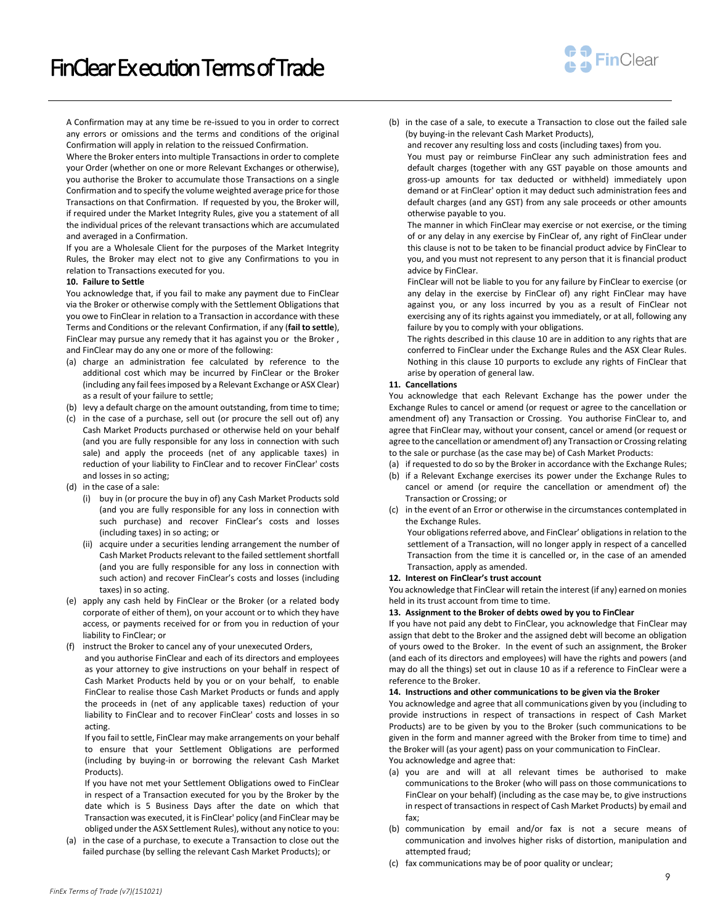

A Confirmation may at any time be re-issued to you in order to correct any errors or omissions and the terms and conditions of the original Confirmation will apply in relation to the reissued Confirmation.

Where the Broker enters into multiple Transactions in order to complete your Order (whether on one or more Relevant Exchanges or otherwise), you authorise the Broker to accumulate those Transactions on a single Confirmation and to specify the volume weighted average price for those Transactions on that Confirmation. If requested by you, the Broker will, if required under the Market Integrity Rules, give you a statement of all the individual prices of the relevant transactions which are accumulated and averaged in a Confirmation.

If you are a Wholesale Client for the purposes of the Market Integrity Rules, the Broker may elect not to give any Confirmations to you in relation to Transactions executed for you.

## <span id="page-8-0"></span>**10. Failure to Settle**

You acknowledge that, if you fail to make any payment due to FinClear via the Broker or otherwise comply with the Settlement Obligations that you owe to FinClear in relation to a Transaction in accordance with these Terms and Conditions or the relevant Confirmation, if any (**fail to settle**), FinClear may pursue any remedy that it has against you or the Broker , and FinClear may do any one or more of the following:

- (a) charge an administration fee calculated by reference to the additional cost which may be incurred by FinClear or the Broker (including any fail fees imposed by a Relevant Exchange or ASX Clear) as a result of your failure to settle;
- (b) levy a default charge on the amount outstanding, from time to time;
- (c) in the case of a purchase, sell out (or procure the sell out of) any Cash Market Products purchased or otherwise held on your behalf (and you are fully responsible for any loss in connection with such sale) and apply the proceeds (net of any applicable taxes) in reduction of your liability to FinClear and to recover FinClear' costs and losses in so acting;
- (d) in the case of a sale:
	- (i) buy in (or procure the buy in of) any Cash Market Products sold (and you are fully responsible for any loss in connection with such purchase) and recover FinClear's costs and losses (including taxes) in so acting; or
	- (ii) acquire under a securities lending arrangement the number of Cash Market Products relevant to the failed settlement shortfall (and you are fully responsible for any loss in connection with such action) and recover FinClear's costs and losses (including taxes) in so acting.
- (e) apply any cash held by FinClear or the Broker (or a related body corporate of either of them), on your account or to which they have access, or payments received for or from you in reduction of your liability to FinClear; or
- (f) instruct the Broker to cancel any of your unexecuted Orders,

and you authorise FinClear and each of its directors and employees as your attorney to give instructions on your behalf in respect of Cash Market Products held by you or on your behalf, to enable FinClear to realise those Cash Market Products or funds and apply the proceeds in (net of any applicable taxes) reduction of your liability to FinClear and to recover FinClear' costs and losses in so acting.

If you fail to settle, FinClear may make arrangements on your behalf to ensure that your Settlement Obligations are performed (including by buying-in or borrowing the relevant Cash Market Products).

If you have not met your Settlement Obligations owed to FinClear in respect of a Transaction executed for you by the Broker by the date which is 5 Business Days after the date on which that Transaction was executed, it is FinClear' policy (and FinClear may be obliged under the ASX Settlement Rules), without any notice to you:

(a) in the case of a purchase, to execute a Transaction to close out the failed purchase (by selling the relevant Cash Market Products); or

(b) in the case of a sale, to execute a Transaction to close out the failed sale (by buying-in the relevant Cash Market Products),

and recover any resulting loss and costs (including taxes) from you.

You must pay or reimburse FinClear any such administration fees and default charges (together with any GST payable on those amounts and gross-up amounts for tax deducted or withheld) immediately upon demand or at FinClear' option it may deduct such administration fees and default charges (and any GST) from any sale proceeds or other amounts otherwise payable to you.

The manner in which FinClear may exercise or not exercise, or the timing of or any delay in any exercise by FinClear of, any right of FinClear under this clause is not to be taken to be financial product advice by FinClear to you, and you must not represent to any person that it is financial product advice by FinClear.

FinClear will not be liable to you for any failure by FinClear to exercise (or any delay in the exercise by FinClear of) any right FinClear may have against you, or any loss incurred by you as a result of FinClear not exercising any of its rights against you immediately, or at all, following any failure by you to comply with your obligations.

The rights described in this claus[e 10](#page-8-0) are in addition to any rights that are conferred to FinClear under the Exchange Rules and the ASX Clear Rules. Nothing in this clause 10 purports to exclude any rights of FinClear that arise by operation of general law.

### **11. Cancellations**

You acknowledge that each Relevant Exchange has the power under the Exchange Rules to cancel or amend (or request or agree to the cancellation or amendment of) any Transaction or Crossing. You authorise FinClear to, and agree that FinClear may, without your consent, cancel or amend (or request or agree to the cancellation or amendment of) any Transaction or Crossing relating to the sale or purchase (as the case may be) of Cash Market Products:

- (a) if requested to do so by the Broker in accordance with the Exchange Rules;
- (b) if a Relevant Exchange exercises its power under the Exchange Rules to cancel or amend (or require the cancellation or amendment of) the Transaction or Crossing; or
- (c) in the event of an Error or otherwise in the circumstances contemplated in the Exchange Rules.

Your obligations referred above, and FinClear' obligations in relation to the settlement of a Transaction, will no longer apply in respect of a cancelled Transaction from the time it is cancelled or, in the case of an amended Transaction, apply as amended.

#### **12. Interest on FinClear's trust account**

You acknowledge that FinClear will retain the interest (if any) earned on monies held in its trust account from time to time.

#### **13. Assignment to the Broker of debts owed by you to FinClear**

If you have not paid any debt to FinClear, you acknowledge that FinClear may assign that debt to the Broker and the assigned debt will become an obligation of yours owed to the Broker. In the event of such an assignment, the Broker (and each of its directors and employees) will have the rights and powers (and may do all the things) set out in claus[e 10](#page-8-0) as if a reference to FinClear were a reference to the Broker.

#### **14. Instructions and other communications to be given via the Broker**

You acknowledge and agree that all communications given by you (including to provide instructions in respect of transactions in respect of Cash Market Products) are to be given by you to the Broker (such communications to be given in the form and manner agreed with the Broker from time to time) and the Broker will (as your agent) pass on your communication to FinClear. You acknowledge and agree that:

- (a) you are and will at all relevant times be authorised to make communications to the Broker (who will pass on those communications to FinClear on your behalf) (including as the case may be, to give instructions in respect of transactions in respect of Cash Market Products) by email and fax;
- (b) communication by email and/or fax is not a secure means of communication and involves higher risks of distortion, manipulation and attempted fraud;
- (c) fax communications may be of poor quality or unclear;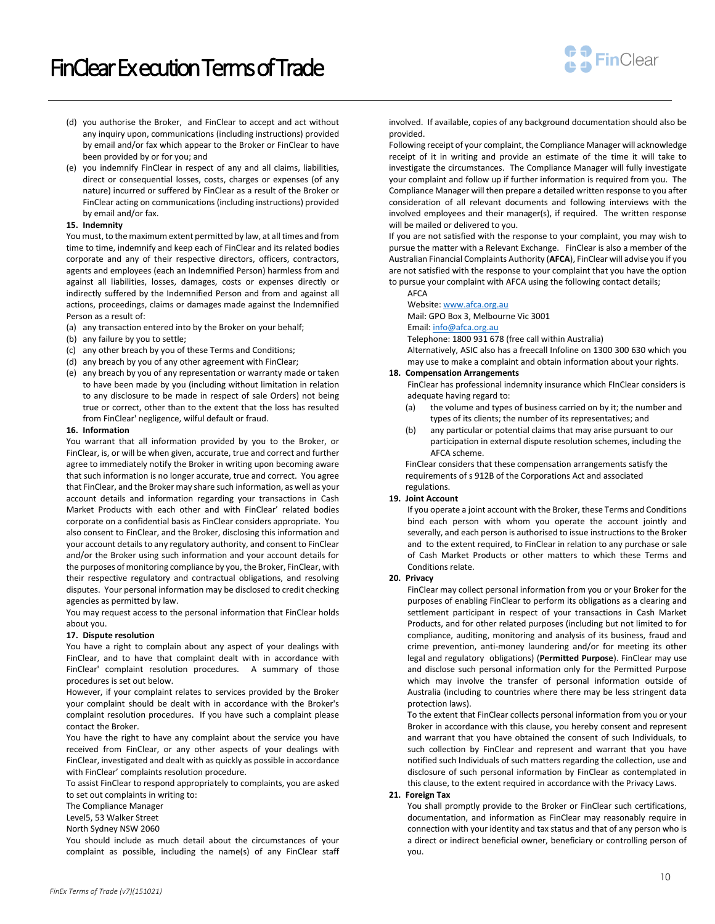

- (d) you authorise the Broker, and FinClear to accept and act without any inquiry upon, communications (including instructions) provided by email and/or fax which appear to the Broker or FinClear to have been provided by or for you; and
- (e) you indemnify FinClear in respect of any and all claims, liabilities, direct or consequential losses, costs, charges or expenses (of any nature) incurred or suffered by FinClear as a result of the Broker or FinClear acting on communications (including instructions) provided by email and/or fax.

## **15. Indemnity**

You must, to the maximum extent permitted by law, at all times and from time to time, indemnify and keep each of FinClear and its related bodies corporate and any of their respective directors, officers, contractors, agents and employees (each an Indemnified Person) harmless from and against all liabilities, losses, damages, costs or expenses directly or indirectly suffered by the Indemnified Person and from and against all actions, proceedings, claims or damages made against the Indemnified Person as a result of:

- (a) any transaction entered into by the Broker on your behalf;
- (b) any failure by you to settle;
- (c) any other breach by you of these Terms and Conditions;
- (d) any breach by you of any other agreement with FinClear;
- (e) any breach by you of any representation or warranty made or taken to have been made by you (including without limitation in relation to any disclosure to be made in respect of sale Orders) not being true or correct, other than to the extent that the loss has resulted from FinClear' negligence, wilful default or fraud.

#### **16. Information**

You warrant that all information provided by you to the Broker, or FinClear, is, or will be when given, accurate, true and correct and further agree to immediately notify the Broker in writing upon becoming aware that such information is no longer accurate, true and correct. You agree that FinClear, and the Broker may share such information, as well as your account details and information regarding your transactions in Cash Market Products with each other and with FinClear' related bodies corporate on a confidential basis as FinClear considers appropriate. You also consent to FinClear, and the Broker, disclosing this information and your account details to any regulatory authority, and consent to FinClear and/or the Broker using such information and your account details for the purposes of monitoring compliance by you, the Broker, FinClear, with their respective regulatory and contractual obligations, and resolving disputes. Your personal information may be disclosed to credit checking agencies as permitted by law.

You may request access to the personal information that FinClear holds about you.

#### **17. Dispute resolution**

You have a right to complain about any aspect of your dealings with FinClear, and to have that complaint dealt with in accordance with FinClear' complaint resolution procedures. A summary of those procedures is set out below.

However, if your complaint relates to services provided by the Broker your complaint should be dealt with in accordance with the Broker's complaint resolution procedures. If you have such a complaint please contact the Broker.

You have the right to have any complaint about the service you have received from FinClear, or any other aspects of your dealings with FinClear, investigated and dealt with as quickly as possible in accordance with FinClear' complaints resolution procedure.

To assist FinClear to respond appropriately to complaints, you are asked to set out complaints in writing to:

The Compliance Manager

Level5, 53 Walker Street

North Sydney NSW 2060

You should include as much detail about the circumstances of your complaint as possible, including the name(s) of any FinClear staff involved. If available, copies of any background documentation should also be provided.

Following receipt of your complaint, the Compliance Manager will acknowledge receipt of it in writing and provide an estimate of the time it will take to investigate the circumstances. The Compliance Manager will fully investigate your complaint and follow up if further information is required from you. The Compliance Manager will then prepare a detailed written response to you after consideration of all relevant documents and following interviews with the involved employees and their manager(s), if required. The written response will be mailed or delivered to you.

If you are not satisfied with the response to your complaint, you may wish to pursue the matter with a Relevant Exchange. FinClear is also a member of the Australian Financial Complaints Authority (**AFCA**), FinClear will advise you if you are not satisfied with the response to your complaint that you have the option to pursue your complaint with AFCA using the following contact details;

# Website[: www.afca.org.au](http://www.afca.org.au/)

Mail: GPO Box 3, Melbourne Vic 3001

# Email[: info@afca.org.au](mailto:info@afca.org.au)

AFCA

Telephone: 1800 931 678 (free call within Australia)

Alternatively, ASIC also has a freecall Infoline on 1300 300 630 which you may use to make a complaint and obtain information about your rights.

## **18. Compensation Arrangements**

FinClear has professional indemnity insurance which FInClear considers is adequate having regard to:

- (a) the volume and types of business carried on by it; the number and types of its clients; the number of its representatives; and
- (b) any particular or potential claims that may arise pursuant to our participation in external dispute resolution schemes, including the AFCA scheme.

FinClear considers that these compensation arrangements satisfy the requirements of s 912B of the Corporations Act and associated regulations.

# **19. Joint Account**

If you operate a joint account with the Broker, these Terms and Conditions bind each person with whom you operate the account jointly and severally, and each person is authorised to issue instructions to the Broker and to the extent required, to FinClear in relation to any purchase or sale of Cash Market Products or other matters to which these Terms and Conditions relate.

#### **20. Privacy**

FinClear may collect personal information from you or your Broker for the purposes of enabling FinClear to perform its obligations as a clearing and settlement participant in respect of your transactions in Cash Market Products, and for other related purposes (including but not limited to for compliance, auditing, monitoring and analysis of its business, fraud and crime prevention, anti-money laundering and/or for meeting its other legal and regulatory obligations) (**Permitted Purpose**). FinClear may use and disclose such personal information only for the Permitted Purpose which may involve the transfer of personal information outside of Australia (including to countries where there may be less stringent data protection laws).

To the extent that FinClear collects personal information from you or your Broker in accordance with this clause, you hereby consent and represent and warrant that you have obtained the consent of such Individuals, to such collection by FinClear and represent and warrant that you have notified such Individuals of such matters regarding the collection, use and disclosure of such personal information by FinClear as contemplated in this clause, to the extent required in accordance with the Privacy Laws.

# **21. Foreign Tax**

You shall promptly provide to the Broker or FinClear such certifications, documentation, and information as FinClear may reasonably require in connection with your identity and tax status and that of any person who is a direct or indirect beneficial owner, beneficiary or controlling person of you.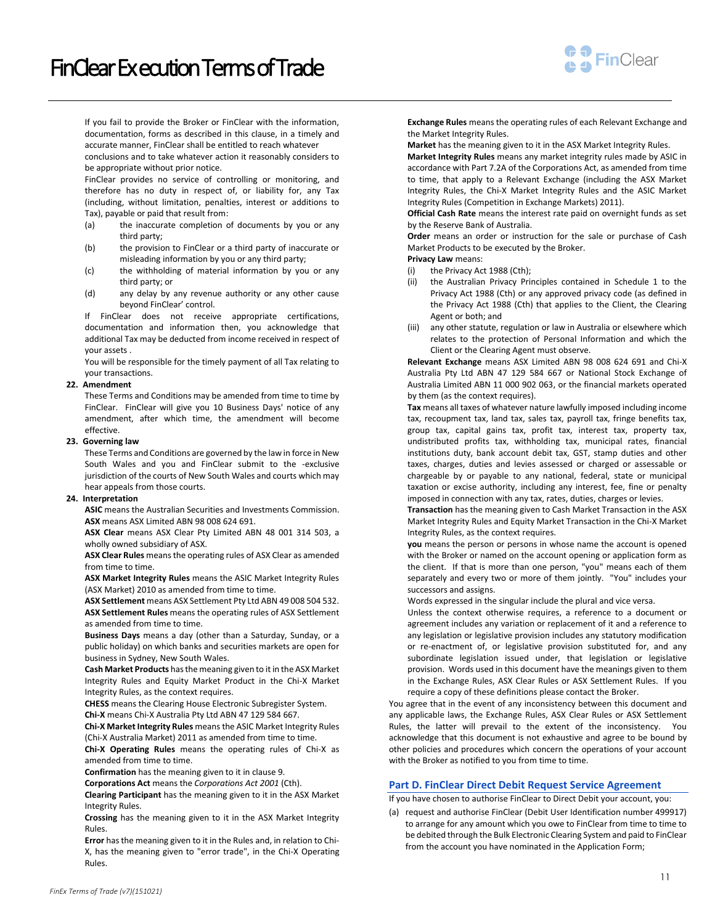

If you fail to provide the Broker or FinClear with the information, documentation, forms as described in this clause, in a timely and accurate manner, FinClear shall be entitled to reach whatever conclusions and to take whatever action it reasonably considers to be appropriate without prior notice.

FinClear provides no service of controlling or monitoring, and therefore has no duty in respect of, or liability for, any Tax (including, without limitation, penalties, interest or additions to Tax), payable or paid that result from:

- (a) the inaccurate completion of documents by you or any third party;
- (b) the provision to FinClear or a third party of inaccurate or misleading information by you or any third party;
- (c) the withholding of material information by you or any third party; or
- (d) any delay by any revenue authority or any other cause beyond FinClear' control.

If FinClear does not receive appropriate certifications, documentation and information then, you acknowledge that additional Tax may be deducted from income received in respect of your assets .

You will be responsible for the timely payment of all Tax relating to your transactions.

## **22. Amendment**

These Terms and Conditions may be amended from time to time by FinClear. FinClear will give you 10 Business Days' notice of any amendment, after which time, the amendment will become effective.

## **23. Governing law**

These Terms and Conditions are governed by the law in force in New South Wales and you and FinClear submit to the -exclusive jurisdiction of the courts of New South Wales and courts which may hear appeals from those courts.

## **24. Interpretation**

**ASIC** means the Australian Securities and Investments Commission. **ASX** means ASX Limited ABN 98 008 624 691.

**ASX Clear** means ASX Clear Pty Limited ABN 48 001 314 503, a wholly owned subsidiary of ASX.

**ASX Clear Rules** means the operating rules of ASX Clear as amended from time to time.

**ASX Market Integrity Rules** means the ASIC Market Integrity Rules (ASX Market) 2010 as amended from time to time.

**ASX Settlement** means ASX Settlement Pty Ltd ABN 49 008 504 532. **ASX Settlement Rules** means the operating rules of ASX Settlement as amended from time to time.

**Business Days** means a day (other than a Saturday, Sunday, or a public holiday) on which banks and securities markets are open for business in Sydney, New South Wales.

**Cash Market Products** has the meaning given to it in the ASX Market Integrity Rules and Equity Market Product in the Chi-X Market Integrity Rules, as the context requires.

**CHESS** means the Clearing House Electronic Subregister System. **Chi-X** means Chi-X Australia Pty Ltd ABN 47 129 584 667.

**Chi-X Market Integrity Rules** means the ASIC Market Integrity Rules (Chi-X Australia Market) 2011 as amended from time to time.

**Chi-X Operating Rules** means the operating rules of Chi-X as amended from time to time.

**Confirmation** has the meaning given to it in claus[e 9.](#page-7-0)

**Corporations Act** means the *Corporations Act 2001* (Cth).

**Clearing Participant** has the meaning given to it in the ASX Market Integrity Rules.

**Crossing** has the meaning given to it in the ASX Market Integrity Rules.

**Error** has the meaning given to it in the Rules and, in relation to Chi-X, has the meaning given to "error trade", in the Chi-X Operating Rules.

**Exchange Rules** means the operating rules of each Relevant Exchange and the Market Integrity Rules.

**Market** has the meaning given to it in the ASX Market Integrity Rules.

**Market Integrity Rules** means any market integrity rules made by ASIC in accordance with Part 7.2A of the Corporations Act, as amended from time to time, that apply to a Relevant Exchange (including the ASX Market Integrity Rules, the Chi-X Market Integrity Rules and the ASIC Market Integrity Rules (Competition in Exchange Markets) 2011).

**Official Cash Rate** means the interest rate paid on overnight funds as set by the Reserve Bank of Australia.

**Order** means an order or instruction for the sale or purchase of Cash Market Products to be executed by the Broker.

**Privacy Law** means:

- (i) the Privacy Act 1988 (Cth);
- (ii) the Australian Privacy Principles contained in Schedule 1 to the Privacy Act 1988 (Cth) or any approved privacy code (as defined in the Privacy Act 1988 (Cth) that applies to the Client, the Clearing Agent or both; and
- (iii) any other statute, regulation or law in Australia or elsewhere which relates to the protection of Personal Information and which the Client or the Clearing Agent must observe.

**Relevant Exchange** means ASX Limited ABN 98 008 624 691 and Chi-X Australia Pty Ltd ABN 47 129 584 667 or National Stock Exchange of Australia Limited ABN 11 000 902 063, or the financial markets operated by them (as the context requires).

**Tax** means all taxes of whatever nature lawfully imposed including income tax, recoupment tax, land tax, sales tax, payroll tax, fringe benefits tax, group tax, capital gains tax, profit tax, interest tax, property tax, undistributed profits tax, withholding tax, municipal rates, financial institutions duty, bank account debit tax, GST, stamp duties and other taxes, charges, duties and levies assessed or charged or assessable or chargeable by or payable to any national, federal, state or municipal taxation or excise authority, including any interest, fee, fine or penalty imposed in connection with any tax, rates, duties, charges or levies.

**Transaction** has the meaning given to Cash Market Transaction in the ASX Market Integrity Rules and Equity Market Transaction in the Chi-X Market Integrity Rules, as the context requires.

**you** means the person or persons in whose name the account is opened with the Broker or named on the account opening or application form as the client. If that is more than one person, "you" means each of them separately and every two or more of them jointly. "You" includes your successors and assigns.

Words expressed in the singular include the plural and vice versa.

Unless the context otherwise requires, a reference to a document or agreement includes any variation or replacement of it and a reference to any legislation or legislative provision includes any statutory modification or re-enactment of, or legislative provision substituted for, and any subordinate legislation issued under, that legislation or legislative provision. Words used in this document have the meanings given to them in the Exchange Rules, ASX Clear Rules or ASX Settlement Rules. If you require a copy of these definitions please contact the Broker.

You agree that in the event of any inconsistency between this document and any applicable laws, the Exchange Rules, ASX Clear Rules or ASX Settlement Rules, the latter will prevail to the extent of the inconsistency. You acknowledge that this document is not exhaustive and agree to be bound by other policies and procedures which concern the operations of your account with the Broker as notified to you from time to time.

## **Part D. FinClear Direct Debit Request Service Agreement**

If you have chosen to authorise FinClear to Direct Debit your account, you:

(a) request and authorise FinClear (Debit User Identification number 499917) to arrange for any amount which you owe to FinClear from time to time to be debited through the Bulk Electronic Clearing System and paid to FinClear from the account you have nominated in the Application Form;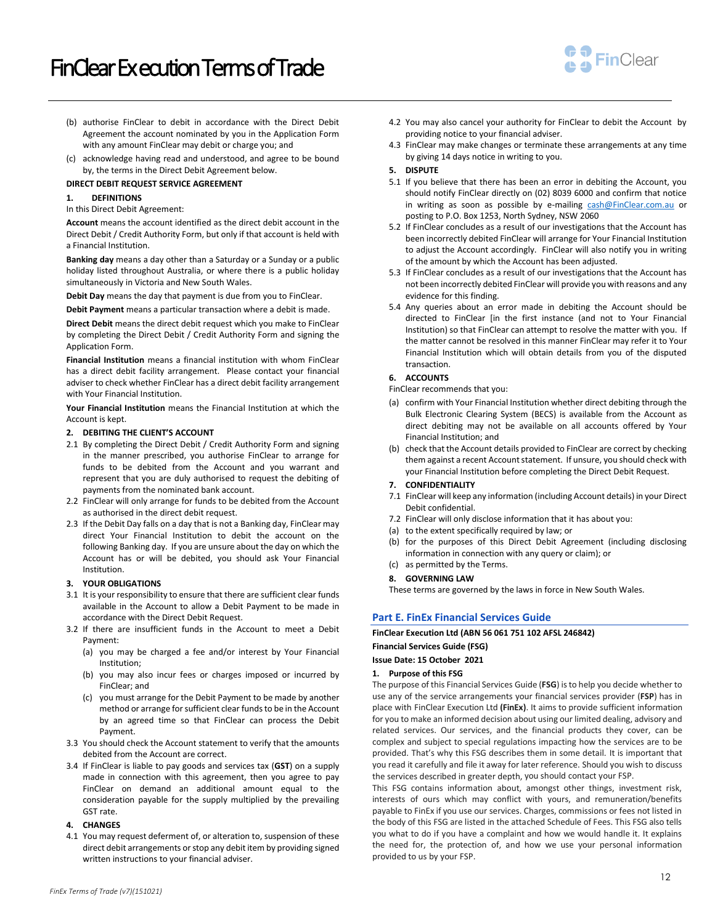

- (b) authorise FinClear to debit in accordance with the Direct Debit Agreement the account nominated by you in the Application Form with any amount FinClear may debit or charge you; and
- (c) acknowledge having read and understood, and agree to be bound by, the terms in the Direct Debit Agreement below.

## **DIRECT DEBIT REQUEST SERVICE AGREEMENT**

## **1. DEFINITIONS**

In this Direct Debit Agreement:

**Account** means the account identified as the direct debit account in the Direct Debit / Credit Authority Form, but only if that account is held with a Financial Institution.

**Banking day** means a day other than a Saturday or a Sunday or a public holiday listed throughout Australia, or where there is a public holiday simultaneously in Victoria and New South Wales.

**Debit Day** means the day that payment is due from you to FinClear.

**Debit Payment** means a particular transaction where a debit is made.

**Direct Debit** means the direct debit request which you make to FinClear by completing the Direct Debit / Credit Authority Form and signing the Application Form.

**Financial Institution** means a financial institution with whom FinClear has a direct debit facility arrangement. Please contact your financial adviser to check whether FinClear has a direct debit facility arrangement with Your Financial Institution.

**Your Financial Institution** means the Financial Institution at which the Account is kept.

- **2. DEBITING THE CLIENT'S ACCOUNT**
- 2.1 By completing the Direct Debit / Credit Authority Form and signing in the manner prescribed, you authorise FinClear to arrange for funds to be debited from the Account and you warrant and represent that you are duly authorised to request the debiting of payments from the nominated bank account.
- 2.2 FinClear will only arrange for funds to be debited from the Account as authorised in the direct debit request.
- 2.3 If the Debit Day falls on a day that is not a Banking day, FinClear may direct Your Financial Institution to debit the account on the following Banking day. If you are unsure about the day on which the Account has or will be debited, you should ask Your Financial Institution.

# **3. YOUR OBLIGATIONS**

- 3.1 It is your responsibility to ensure that there are sufficient clear funds available in the Account to allow a Debit Payment to be made in accordance with the Direct Debit Request.
- 3.2 If there are insufficient funds in the Account to meet a Debit Payment:
	- (a) you may be charged a fee and/or interest by Your Financial Institution;
	- (b) you may also incur fees or charges imposed or incurred by FinClear; and
	- (c) you must arrange for the Debit Payment to be made by another method or arrange for sufficient clear funds to be in the Account by an agreed time so that FinClear can process the Debit Payment.
- 3.3 You should check the Account statement to verify that the amounts debited from the Account are correct.
- 3.4 If FinClear is liable to pay goods and services tax (**GST**) on a supply made in connection with this agreement, then you agree to pay FinClear on demand an additional amount equal to the consideration payable for the supply multiplied by the prevailing GST rate.
- **4. CHANGES**
- 4.1 You may request deferment of, or alteration to, suspension of these direct debit arrangements or stop any debit item by providing signed written instructions to your financial adviser.
- 4.2 You may also cancel your authority for FinClear to debit the Account by providing notice to your financial adviser.
- 4.3 FinClear may make changes or terminate these arrangements at any time by giving 14 days notice in writing to you.

### **5. DISPUTE**

- 5.1 If you believe that there has been an error in debiting the Account, you should notify FinClear directly on (02) 8039 6000 and confirm that notice in writing as soon as possible by e-mailing [cash@FinClear.com.au](mailto:cash@penson.com.au) or posting to P.O. Box 1253, North Sydney, NSW 2060
- 5.2 If FinClear concludes as a result of our investigations that the Account has been incorrectly debited FinClear will arrange for Your Financial Institution to adjust the Account accordingly. FinClear will also notify you in writing of the amount by which the Account has been adjusted.
- 5.3 If FinClear concludes as a result of our investigations that the Account has not been incorrectly debited FinClear will provide you with reasons and any evidence for this finding.
- 5.4 Any queries about an error made in debiting the Account should be directed to FinClear [in the first instance (and not to Your Financial Institution) so that FinClear can attempt to resolve the matter with you. If the matter cannot be resolved in this manner FinClear may refer it to Your Financial Institution which will obtain details from you of the disputed transaction.

## **6. ACCOUNTS**

FinClear recommends that you:

- (a) confirm with Your Financial Institution whether direct debiting through the Bulk Electronic Clearing System (BECS) is available from the Account as direct debiting may not be available on all accounts offered by Your Financial Institution; and
- (b) check that the Account details provided to FinClear are correct by checking them against a recent Account statement. If unsure, you should check with your Financial Institution before completing the Direct Debit Request.

#### **7. CONFIDENTIALITY**

- 7.1 FinClear will keep any information (including Account details) in your Direct Debit confidential.
- 7.2 FinClear will only disclose information that it has about you:
- (a) to the extent specifically required by law; or
- (b) for the purposes of this Direct Debit Agreement (including disclosing information in connection with any query or claim); or
- (c) as permitted by the Terms.

## **8. GOVERNING LAW**

These terms are governed by the laws in force in New South Wales.

# **Part E. FinEx Financial Services Guide**

# **FinClear Execution Ltd (ABN 56 061 751 102 AFSL 246842) Financial Services Guide (FSG)**

**Issue Date: 15 October 2021** 

## **1. Purpose of this FSG**

The purpose of this Financial Services Guide (**FSG**) isto help you decide whether to use any of the service arrangements your financial services provider (**FSP**) has in place with FinClear Execution Ltd **(FinEx)**. It aims to provide sufficient information for you to make an informed decision about using our limited dealing, advisory and related services. Our services, and the financial products they cover, can be complex and subject to special regulations impacting how the services are to be provided. That's why this FSG describes them in some detail. It is important that you read it carefully and file it away for later reference. Should you wish to discuss the services described in greater depth, you should contact your FSP.

This FSG contains information about, amongst other things, investment risk, interests of ours which may conflict with yours, and remuneration/benefits payable to FinEx if you use our services. Charges, commissions or fees not listed in the body of this FSG are listed in the attached Schedule of Fees. This FSG also tells you what to do if you have a complaint and how we would handle it. It explains the need for, the protection of, and how we use your personal information provided to us by your FSP.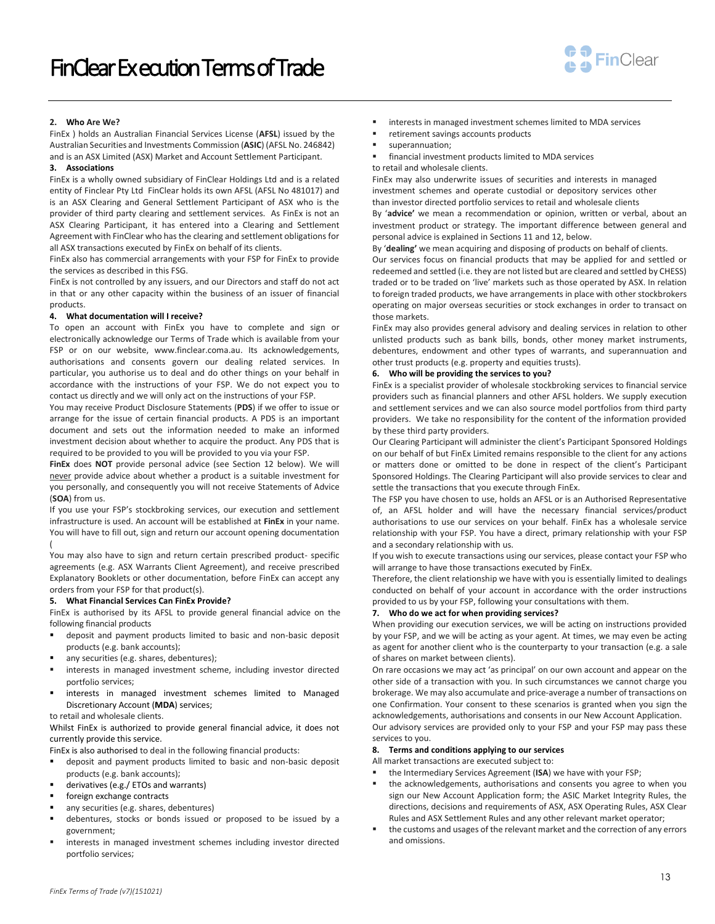

## **2. Who Are We?**

FinEx ) holds an Australian Financial Services License (**AFSL**) issued by the Australian Securities and Investments Commission (**ASIC**) (AFSL No. 246842) and is an ASX Limited (ASX) Market and Account Settlement Participant.

### **3. Associations**

FinEx is a wholly owned subsidiary of FinClear Holdings Ltd and is a related entity of Finclear Pty Ltd FinClear holds its own AFSL (AFSL No 481017) and is an ASX Clearing and General Settlement Participant of ASX who is the provider of third party clearing and settlement services. As FinEx is not an ASX Clearing Participant, it has entered into a Clearing and Settlement Agreement with FinClear who has the clearing and settlement obligations for all ASX transactions executed by FinEx on behalf of its clients.

FinEx also has commercial arrangements with your FSP for FinEx to provide the services as described in this FSG.

FinEx is not controlled by any issuers, and our Directors and staff do not act in that or any other capacity within the business of an issuer of financial products.

### **4. What documentation will I receive?**

To open an account with FinEx you have to complete and sign or electronically acknowledge our Terms of Trade which is available from your FSP or on our website, www.finclear.coma.au. Its acknowledgements, authorisations and consents govern our dealing related services. In particular, you authorise us to deal and do other things on your behalf in accordance with the instructions of your FSP. We do not expect you to contact us directly and we will only act on the instructions of your FSP.

You may receive Product Disclosure Statements (**PDS**) if we offer to issue or arrange for the issue of certain financial products. A PDS is an important document and sets out the information needed to make an informed investment decision about whether to acquire the product. Any PDS that is required to be provided to you will be provided to you via your FSP.

**FinEx** does **NOT** provide personal advice (see Section [12](#page-13-0) below). We will never provide advice about whether a product is a suitable investment for you personally, and consequently you will not receive Statements of Advice (**SOA**) from us.

If you use your FSP's stockbroking services, our execution and settlement infrastructure is used. An account will be established at **FinEx** in your name. You will have to fill out, sign and return our account opening documentation (

You may also have to sign and return certain prescribed product- specific agreements (e.g. ASX Warrants Client Agreement), and receive prescribed Explanatory Booklets or other documentation, before FinEx can accept any orders from your FSP for that product(s).

#### **5. What Financial Services Can FinEx Provide?**

FinEx is authorised by its AFSL to provide general financial advice on the following financial products

- deposit and payment products limited to basic and non-basic deposit products (e.g. bank accounts);
- any securities (e.g. shares, debentures);
- interests in managed investment scheme, including investor directed portfolio services;
- interests in managed investment schemes limited to Managed Discretionary Account (**MDA**) services;

to retail and wholesale clients.

Whilst FinEx is authorized to provide general financial advice, it does not currently provide this service.

FinEx is also authorised to deal in the following financial products:

- deposit and payment products limited to basic and non-basic deposit products (e.g. bank accounts);
- derivatives (e.g./ ETOs and warrants)
- foreign exchange contracts
- any securities (e.g. shares, debentures)
- debentures, stocks or bonds issued or proposed to be issued by a government;
- interests in managed investment schemes including investor directed portfolio services;
- interests in managed investment schemes limited to MDA services
- retirement savings accounts products
- superannuation;
- financial investment products limited to MDA services

to retail and wholesale clients.

FinEx may also underwrite issues of securities and interests in managed investment schemes and operate custodial or depository services other than investor directed portfolio services to retail and wholesale clients By '**advice'** we mean a recommendation or opinion, written or verbal, about an investment product or strategy. The important difference between general and personal advice is explained in Sections [11](#page-13-1) an[d 12,](#page-13-0) below.

By '**dealing'** we mean acquiring and disposing of products on behalf of clients.

Our services focus on financial products that may be applied for and settled or redeemed and settled (i.e. they are not listed but are cleared and settled by CHESS) traded or to be traded on 'live' markets such as those operated by ASX. In relation to foreign traded products, we have arrangements in place with other stockbrokers operating on major overseas securities or stock exchanges in order to transact on those markets.

FinEx may also provides general advisory and dealing services in relation to other unlisted products such as bank bills, bonds, other money market instruments, debentures, endowment and other types of warrants, and superannuation and other trust products (e.g. property and equities trusts).

#### **6. Who will be providing the services to you?**

FinEx is a specialist provider of wholesale stockbroking services to financial service providers such as financial planners and other AFSL holders. We supply execution and settlement services and we can also source model portfolios from third party providers. We take no responsibility for the content of the information provided by these third party providers.

Our Clearing Participant will administer the client's Participant Sponsored Holdings on our behalf of but FinEx Limited remains responsible to the client for any actions or matters done or omitted to be done in respect of the client's Participant Sponsored Holdings. The Clearing Participant will also provide services to clear and settle the transactions that you execute through FinEx.

The FSP you have chosen to use, holds an AFSL or is an Authorised Representative of, an AFSL holder and will have the necessary financial services/product authorisations to use our services on your behalf. FinEx has a wholesale service relationship with your FSP. You have a direct, primary relationship with your FSP and a secondary relationship with us.

If you wish to execute transactions using our services, please contact your FSP who will arrange to have those transactions executed by FinEx.

Therefore, the client relationship we have with you is essentially limited to dealings conducted on behalf of your account in accordance with the order instructions provided to us by your FSP, following your consultations with them.

#### **7. Who do we act for when providing services?**

When providing our execution services, we will be acting on instructions provided by your FSP, and we will be acting as your agent. At times, we may even be acting as agent for another client who is the counterparty to your transaction (e.g. a sale of shares on market between clients).

On rare occasions we may act 'as principal' on our own account and appear on the other side of a transaction with you. In such circumstances we cannot charge you brokerage. We may also accumulate and price-average a number of transactions on one Confirmation. Your consent to these scenarios is granted when you sign the acknowledgements, authorisations and consents in our New Account Application. Our advisory services are provided only to your FSP and your FSP may pass these services to you.

# **8. Terms and conditions applying to our services**

All market transactions are executed subject to:

- the Intermediary Services Agreement (ISA) we have with your FSP;
- the acknowledgements, authorisations and consents you agree to when you sign our New Account Application form; the ASIC Market Integrity Rules, the directions, decisions and requirements of ASX, ASX Operating Rules, ASX Clear Rules and ASX Settlement Rules and any other relevant market operator;
- the customs and usages of the relevant market and the correction of any errors and omissions.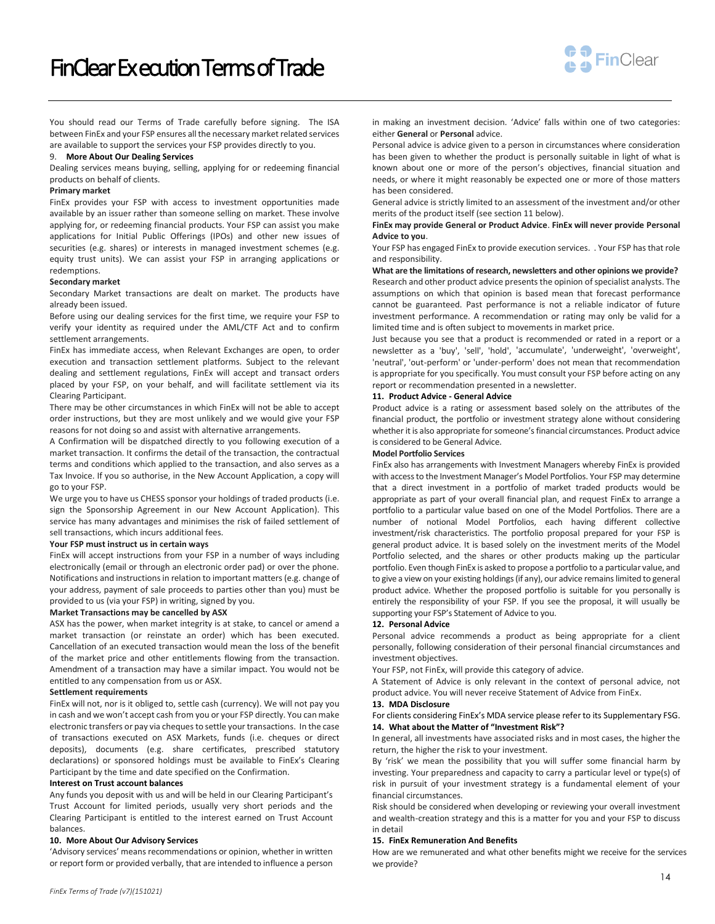

You should read our Terms of Trade carefully before signing. The ISA between FinEx and your FSP ensures all the necessary market related services are available to support the services your FSP provides directly to you.

# 9. **More About Our Dealing Services**

Dealing services means buying, selling, applying for or redeeming financial products on behalf of clients.

## **Primary market**

FinEx provides your FSP with access to investment opportunities made available by an issuer rather than someone selling on market. These involve applying for, or redeeming financial products. Your FSP can assist you make applications for Initial Public Offerings (IPOs) and other new issues of securities (e.g. shares) or interests in managed investment schemes (e.g. equity trust units). We can assist your FSP in arranging applications or redemptions.

#### **Secondary market**

Secondary Market transactions are dealt on market. The products have already been issued.

Before using our dealing services for the first time, we require your FSP to verify your identity as required under the AML/CTF Act and to confirm settlement arrangements.

FinEx has immediate access, when Relevant Exchanges are open, to order execution and transaction settlement platforms. Subject to the relevant dealing and settlement regulations, FinEx will accept and transact orders placed by your FSP, on your behalf, and will facilitate settlement via its Clearing Participant.

There may be other circumstances in which FinEx will not be able to accept order instructions, but they are most unlikely and we would give your FSP reasons for not doing so and assist with alternative arrangements.

A Confirmation will be dispatched directly to you following execution of a market transaction. It confirms the detail of the transaction, the contractual terms and conditions which applied to the transaction, and also serves as a Tax Invoice. If you so authorise, in the New Account Application, a copy will go to your FSP.

We urge you to have us CHESS sponsor your holdings of traded products (i.e. sign the Sponsorship Agreement in our New Account Application). This service has many advantages and minimises the risk of failed settlement of sell transactions, which incurs additional fees.

#### **Your FSP must instruct us in certain ways**

FinEx will accept instructions from your FSP in a number of ways including electronically (email or through an electronic order pad) or over the phone. Notifications and instructions in relation to important matters (e.g. change of your address, payment of sale proceeds to parties other than you) must be provided to us (via your FSP) in writing, signed by you.

#### **Market Transactions may be cancelled by ASX**

ASX has the power, when market integrity is at stake, to cancel or amend a market transaction (or reinstate an order) which has been executed. Cancellation of an executed transaction would mean the loss of the benefit of the market price and other entitlements flowing from the transaction. Amendment of a transaction may have a similar impact. You would not be entitled to any compensation from us or ASX.

#### **Settlement requirements**

FinEx will not, nor is it obliged to, settle cash (currency). We will not pay you in cash and we won't accept cash from you or your FSP directly. You can make electronic transfers or pay via cheques to settle your transactions. In the case of transactions executed on ASX Markets, funds (i.e. cheques or direct deposits), documents (e.g. share certificates, prescribed statutory declarations) or sponsored holdings must be available to FinEx's Clearing Participant by the time and date specified on the Confirmation.

#### **Interest on Trust account balances**

Any funds you deposit with us and will be held in our Clearing Participant's Trust Account for limited periods, usually very short periods and the Clearing Participant is entitled to the interest earned on Trust Account balances.

## **10. More About Our Advisory Services**

'Advisory services' means recommendations or opinion, whether in written or report form or provided verbally, that are intended to influence a person

in making an investment decision. 'Advice' falls within one of two categories: either **General** or **Personal** advice.

Personal advice is advice given to a person in circumstances where consideration has been given to whether the product is personally suitable in light of what is known about one or more of the person's objectives, financial situation and needs, or where it might reasonably be expected one or more of those matters has been considered.

General advice is strictly limited to an assessment of the investment and/or other merits of the product itself (see sectio[n 11](#page-13-1) below).

## **FinEx may provide General or Product Advice**. **FinEx will never provide Personal Advice to you**.

Your FSP has engaged FinEx to provide execution services. . Your FSP has that role and responsibility.

## **What are the limitations of research, newsletters and other opinions we provide?** Research and other product advice presents the opinion of specialist analysts. The assumptions on which that opinion is based mean that forecast performance cannot be guaranteed. Past performance is not a reliable indicator of future investment performance. A recommendation or rating may only be valid for a limited time and is often subject to movements in market price.

Just because you see that a product is recommended or rated in a report or a newsletter as a 'buy', 'sell', 'hold', 'accumulate', 'underweight', 'overweight', 'neutral', 'out-perform' or 'under-perform' does not mean that recommendation is appropriate for you specifically. You must consult your FSP before acting on any report or recommendation presented in a newsletter.

## <span id="page-13-1"></span>**11. Product Advice - General Advice**

Product advice is a rating or assessment based solely on the attributes of the financial product, the portfolio or investment strategy alone without considering whether it is also appropriate for someone's financial circumstances. Product advice is considered to be General Advice.

## **Model Portfolio Services**

FinEx also has arrangements with Investment Managers whereby FinEx is provided with access to the Investment Manager's Model Portfolios. Your FSP may determine that a direct investment in a portfolio of market traded products would be appropriate as part of your overall financial plan, and request FinEx to arrange a portfolio to a particular value based on one of the Model Portfolios. There are a number of notional Model Portfolios, each having different collective investment/risk characteristics. The portfolio proposal prepared for your FSP is general product advice. It is based solely on the investment merits of the Model Portfolio selected, and the shares or other products making up the particular portfolio. Even though FinEx is asked to propose a portfolio to a particular value, and to give a view on your existing holdings (if any), our advice remains limited to general product advice. Whether the proposed portfolio is suitable for you personally is entirely the responsibility of your FSP. If you see the proposal, it will usually be supporting your FSP's Statement of Advice to you.

#### <span id="page-13-0"></span>**12. Personal Advice**

Personal advice recommends a product as being appropriate for a client personally, following consideration of their personal financial circumstances and investment objectives.

Your FSP, not FinEx, will provide this category of advice.

A Statement of Advice is only relevant in the context of personal advice, not product advice. You will never receive Statement of Advice from FinEx.

#### **13. MDA Disclosure**

For clients considering FinEx's MDA service please refer to its Supplementary FSG. **14. What about the Matter of "Investment Risk"?** 

In general, all investments have associated risks and in most cases, the higher the return, the higher the risk to your investment.

By 'risk' we mean the possibility that you will suffer some financial harm by investing. Your preparedness and capacity to carry a particular level or type(s) of risk in pursuit of your investment strategy is a fundamental element of your financial circumstances.

Risk should be considered when developing or reviewing your overall investment and wealth-creation strategy and this is a matter for you and your FSP to discuss in detail

#### **15. FinEx Remuneration And Benefits**

How are we remunerated and what other benefits might we receive for the services we provide?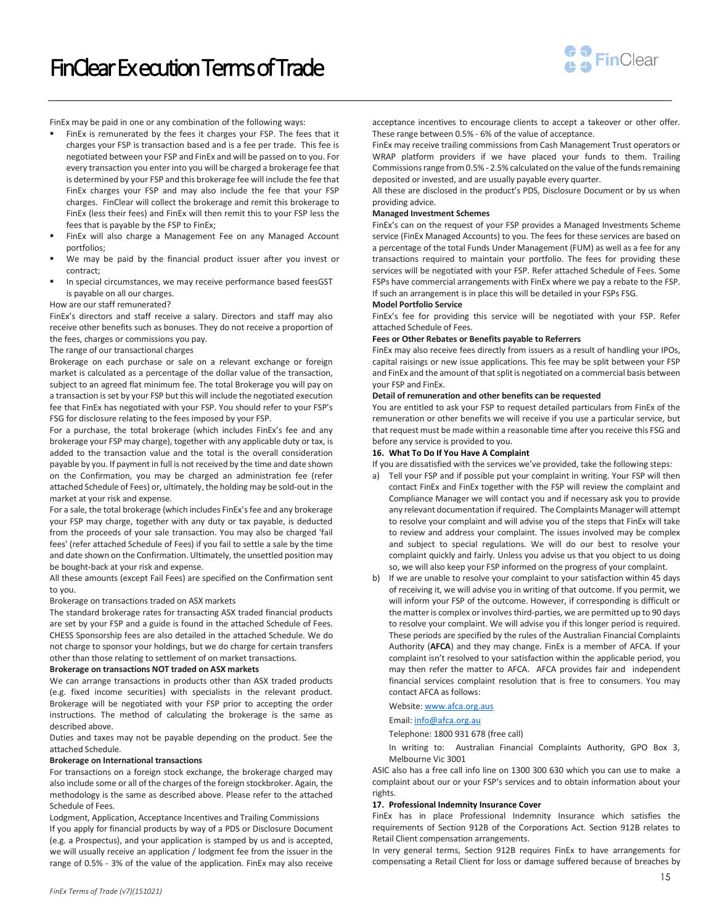

FinEx may be paid in one or any combination of the following ways:

- FinEx is remunerated by the fees it charges your FSP. The fees that it charges your FSP is transaction based and is a fee per trade. This fee is negotiated between your FSP and FinEx and will be passed on to you. For every transaction you enter into you will be charged a brokerage fee that is determined by your FSP and this brokerage fee will include the fee that FinEx charges your FSP and may also include the fee that your FSP charges. FinClear will collect the brokerage and remit this brokerage to FinEx (less their fees) and FinEx will then remit this to your FSP less the fees that is payable by the FSP to FinEx;
- FinEx will also charge a Management Fee on any Managed Account portfolios;
- We may be paid by the financial product issuer after you invest or contract;
- In special circumstances, we may receive performance based feesGST is payable on all our charges.
- How are our staff remunerated?

FinEx's directors and staff receive a salary. Directors and staff may also receive other benefits such as bonuses. They do not receive a proportion of the fees, charges or commissions you pay.

# The range of our transactional charges

Brokerage on each purchase or sale on a relevant exchange or foreign market is calculated as a percentage of the dollar value of the transaction, subject to an agreed flat minimum fee. The total Brokerage you will pay on a transaction is set by your FSP but this will include the negotiated execution fee that FinEx has negotiated with your FSP. You should refer to your FSP's FSG for disclosure relating to the fees imposed by your FSP.

For a purchase, the total brokerage (which includes FinEx's fee and any brokerage your FSP may charge), together with any applicable duty or tax, is added to the transaction value and the total is the overall consideration payable by you. If payment in full is not received by the time and date shown on the Confirmation, you may be charged an administration fee (refer attached Schedule of Fees) or, ultimately, the holding may be sold-out in the market at your risk and expense.

For a sale, the total brokerage (which includes FinEx's fee and any brokerage your FSP may charge, together with any duty or tax payable, is deducted from the proceeds of your sale transaction. You may also be charged 'fail fees' (refer attached Schedule of Fees) if you fail to settle a sale by the time and date shown on the Confirmation. Ultimately, the unsettled position may be bought-back at your risk and expense.

All these amounts (except Fail Fees) are specified on the Confirmation sent to you.

#### Brokerage on transactions traded on ASX markets

The standard brokerage rates for transacting ASX traded financial products are set by your FSP and a guide is found in the attached Schedule of Fees. CHESS Sponsorship fees are also detailed in the attached Schedule. We do not charge to sponsor your holdings, but we do charge for certain transfers other than those relating to settlement of on market transactions.

## **Brokerage on transactions NOT traded on ASX markets**

We can arrange transactions in products other than ASX traded products (e.g. fixed income securities) with specialists in the relevant product. Brokerage will be negotiated with your FSP prior to accepting the order instructions. The method of calculating the brokerage is the same as described above.

Duties and taxes may not be payable depending on the product. See the attached Schedule.

## **Brokerage on International transactions**

For transactions on a foreign stock exchange, the brokerage charged may also include some or all of the charges of the foreign stockbroker. Again, the methodology is the same as described above. Please refer to the attached Schedule of Fees.

Lodgment, Application, Acceptance Incentives and Trailing Commissions If you apply for financial products by way of a PDS or Disclosure Document (e.g. a Prospectus), and your application is stamped by us and is accepted, we will usually receive an application / lodgment fee from the issuer in the range of 0.5% - 3% of the value of the application. FinEx may also receive

acceptance incentives to encourage clients to accept a takeover or other offer. These range between 0.5% - 6% of the value of acceptance.

FinEx may receive trailing commissions from Cash Management Trust operators or WRAP platform providers if we have placed your funds to them. Trailing Commissions range from 0.5% - 2.5% calculated on the value of the funds remaining deposited or invested, and are usually payable every quarter.

All these are disclosed in the product's PDS, Disclosure Document or by us when providing advice.

#### **Managed Investment Schemes**

FinEx's can on the request of your FSP provides a Managed Investments Scheme service (FinEx Managed Accounts) to you. The fees for these services are based on a percentage of the total Funds Under Management (FUM) as well as a fee for any transactions required to maintain your portfolio. The fees for providing these services will be negotiated with your FSP. Refer attached Schedule of Fees. Some FSPs have commercial arrangements with FinEx where we pay a rebate to the FSP. If such an arrangement is in place this will be detailed in your FSPs FSG.

### **Model Portfolio Service**

FinEx's fee for providing this service will be negotiated with your FSP. Refer attached Schedule of Fees.

# **Fees or Other Rebates or Benefits payable to Referrers**

FinEx may also receive fees directly from issuers as a result of handling your IPOs, capital raisings or new issue applications. This fee may be split between your FSP and FinEx and the amount of that split is negotiated on a commercial basis between your FSP and FinEx.

## **Detail of remuneration and other benefits can be requested**

You are entitled to ask your FSP to request detailed particulars from FinEx of the remuneration or other benefits we will receive if you use a particular service, but that request must be made within a reasonable time after you receive this FSG and before any service is provided to you.

### **16. What To Do If You Have A Complaint**

If you are dissatisfied with the services we've provided, take the following steps:

- a) Tell your FSP and if possible put your complaint in writing. Your FSP will then contact FinEx and FinEx together with the FSP will review the complaint and Compliance Manager we will contact you and if necessary ask you to provide any relevant documentation if required. The Complaints Manager will attempt to resolve your complaint and will advise you of the steps that FinEx will take to review and address your complaint. The issues involved may be complex and subject to special regulations. We will do our best to resolve your complaint quickly and fairly. Unless you advise us that you object to us doing so, we will also keep your FSP informed on the progress of your complaint.
- b) If we are unable to resolve your complaint to your satisfaction within 45 days of receiving it, we will advise you in writing of that outcome. If you permit, we will inform your FSP of the outcome. However, if corresponding is difficult or the matter is complex or involves third-parties, we are permitted up to 90 days to resolve your complaint. We will advise you if this longer period is required. These periods are specified by the rules of the Australian Financial Complaints Authority (**AFCA**) and they may change. FinEx is a member of AFCA. If your complaint isn't resolved to your satisfaction within the applicable period, you may then refer the matter to AFCA. AFCA provides fair and independent financial services complaint resolution that is free to consumers. You may contact AFCA as follows:

# Website: www.afca.org.aus

Email: [info@afca.org.au](mailto:info@afca.org.au)

Telephone: 1800 931 678 (free call)

In writing to: Australian Financial Complaints Authority, GPO Box 3, Melbourne Vic 3001

ASIC also has a free call info line on 1300 300 630 which you can use to make a complaint about our or your FSP's services and to obtain information about your rights.

## **17. Professional Indemnity Insurance Cover**

FinEx has in place Professional Indemnity Insurance which satisfies the requirements of Section 912B of the Corporations Act. Section 912B relates to Retail Client compensation arrangements.

In very general terms, Section 912B requires FinEx to have arrangements for compensating a Retail Client for loss or damage suffered because of breaches by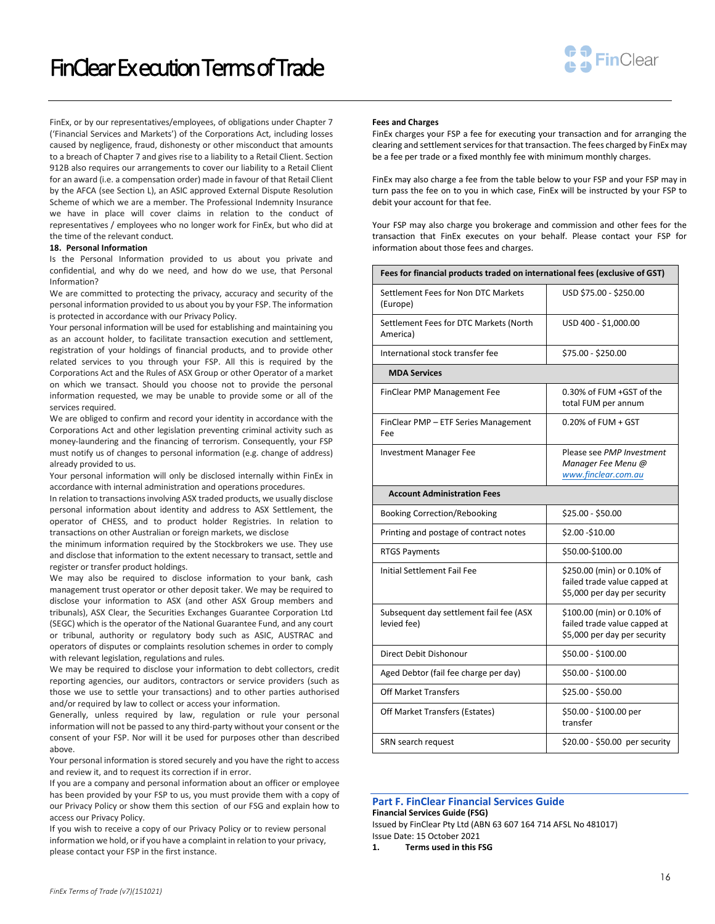# FinClear Ex ecution Terms of Trade



FinEx, or by our representatives/employees, of obligations under Chapter 7 ('Financial Services and Markets') of the Corporations Act, including losses caused by negligence, fraud, dishonesty or other misconduct that amounts to a breach of Chapter 7 and gives rise to a liability to a Retail Client. Section 912B also requires our arrangements to cover our liability to a Retail Client for an award (i.e. a compensation order) made in favour of that Retail Client by the AFCA (see Section L), an ASIC approved External Dispute Resolution Scheme of which we are a member. The Professional Indemnity Insurance we have in place will cover claims in relation to the conduct of representatives / employees who no longer work for FinEx, but who did at the time of the relevant conduct.

## **18. Personal Information**

Is the Personal Information provided to us about you private and confidential, and why do we need, and how do we use, that Personal Information?

We are committed to protecting the privacy, accuracy and security of the personal information provided to us about you by your FSP. The information is protected in accordance with our Privacy Policy.

Your personal information will be used for establishing and maintaining you as an account holder, to facilitate transaction execution and settlement, registration of your holdings of financial products, and to provide other related services to you through your FSP. All this is required by the Corporations Act and the Rules of ASX Group or other Operator of a market on which we transact. Should you choose not to provide the personal information requested, we may be unable to provide some or all of the services required.

We are obliged to confirm and record your identity in accordance with the Corporations Act and other legislation preventing criminal activity such as money-laundering and the financing of terrorism. Consequently, your FSP must notify us of changes to personal information (e.g. change of address) already provided to us.

Your personal information will only be disclosed internally within FinEx in accordance with internal administration and operations procedures.

In relation to transactions involving ASX traded products, we usually disclose personal information about identity and address to ASX Settlement, the operator of CHESS, and to product holder Registries. In relation to transactions on other Australian or foreign markets, we disclose

the minimum information required by the Stockbrokers we use. They use and disclose that information to the extent necessary to transact, settle and register or transfer product holdings.

We may also be required to disclose information to your bank, cash management trust operator or other deposit taker. We may be required to disclose your information to ASX (and other ASX Group members and tribunals), ASX Clear, the Securities Exchanges Guarantee Corporation Ltd (SEGC) which is the operator of the National Guarantee Fund, and any court or tribunal, authority or regulatory body such as ASIC, AUSTRAC and operators of disputes or complaints resolution schemes in order to comply with relevant legislation, regulations and rules.

We may be required to disclose your information to debt collectors, credit reporting agencies, our auditors, contractors or service providers (such as those we use to settle your transactions) and to other parties authorised and/or required by law to collect or access your information.

Generally, unless required by law, regulation or rule your personal information will not be passed to any third-party without your consent or the consent of your FSP. Nor will it be used for purposes other than described above.

Your personal information is stored securely and you have the right to access and review it, and to request its correction if in error.

If you are a company and personal information about an officer or employee has been provided by your FSP to us, you must provide them with a copy of our Privacy Policy or show them this section of our FSG and explain how to access our Privacy Policy.

If you wish to receive a copy of our Privacy Policy or to review personal information we hold, or if you have a complaint in relation to your privacy, please contact your FSP in the first instance.

#### **Fees and Charges**

FinEx charges your FSP a fee for executing your transaction and for arranging the clearing and settlement services for that transaction. The fees charged by FinEx may be a fee per trade or a fixed monthly fee with minimum monthly charges.

FinEx may also charge a fee from the table below to your FSP and your FSP may in turn pass the fee on to you in which case, FinEx will be instructed by your FSP to debit your account for that fee.

Your FSP may also charge you brokerage and commission and other fees for the transaction that FinEx executes on your behalf. Please contact your FSP for information about those fees and charges.

| Fees for financial products traded on international fees (exclusive of GST) |                                                                                            |  |
|-----------------------------------------------------------------------------|--------------------------------------------------------------------------------------------|--|
| Settlement Fees for Non DTC Markets<br>(Europe)                             | USD \$75.00 - \$250.00                                                                     |  |
| Settlement Fees for DTC Markets (North<br>America)                          | USD 400 - \$1,000.00                                                                       |  |
| International stock transfer fee                                            | \$75.00 - \$250.00                                                                         |  |
| <b>MDA Services</b>                                                         |                                                                                            |  |
| FinClear PMP Management Fee                                                 | $0.30\%$ of FUM +GST of the<br>total FUM per annum                                         |  |
| FinClear PMP - ETF Series Management<br>Fee                                 | $0.20\%$ of FUM + GST                                                                      |  |
| <b>Investment Manager Fee</b>                                               | Please see PMP Investment<br>Manager Fee Menu @<br>www.finclear.com.au                     |  |
| <b>Account Administration Fees</b>                                          |                                                                                            |  |
| <b>Booking Correction/Rebooking</b>                                         | \$25.00 - \$50.00                                                                          |  |
| Printing and postage of contract notes                                      | \$2.00-\$10.00                                                                             |  |
| <b>RTGS Payments</b>                                                        | \$50.00-\$100.00                                                                           |  |
| <b>Initial Settlement Fail Fee</b>                                          | \$250.00 (min) or 0.10% of<br>failed trade value capped at<br>\$5,000 per day per security |  |
| Subsequent day settlement fail fee (ASX<br>levied fee)                      | \$100.00 (min) or 0.10% of<br>failed trade value capped at<br>\$5,000 per day per security |  |
| Direct Debit Dishonour                                                      | \$50.00 - \$100.00                                                                         |  |
| Aged Debtor (fail fee charge per day)                                       | \$50.00 - \$100.00                                                                         |  |
| <b>Off Market Transfers</b>                                                 | \$25.00 - \$50.00                                                                          |  |
| Off Market Transfers (Estates)                                              | \$50.00 - \$100.00 per<br>transfer                                                         |  |
| SRN search request                                                          | \$20.00 - \$50.00 per security                                                             |  |

## **Part F. FinClear Financial Services Guide Financial Services Guide (FSG)**

Issued by FinClear Pty Ltd (ABN 63 607 164 714 AFSL No 481017) Issue Date: 15 October 2021

**1. Terms used in this FSG**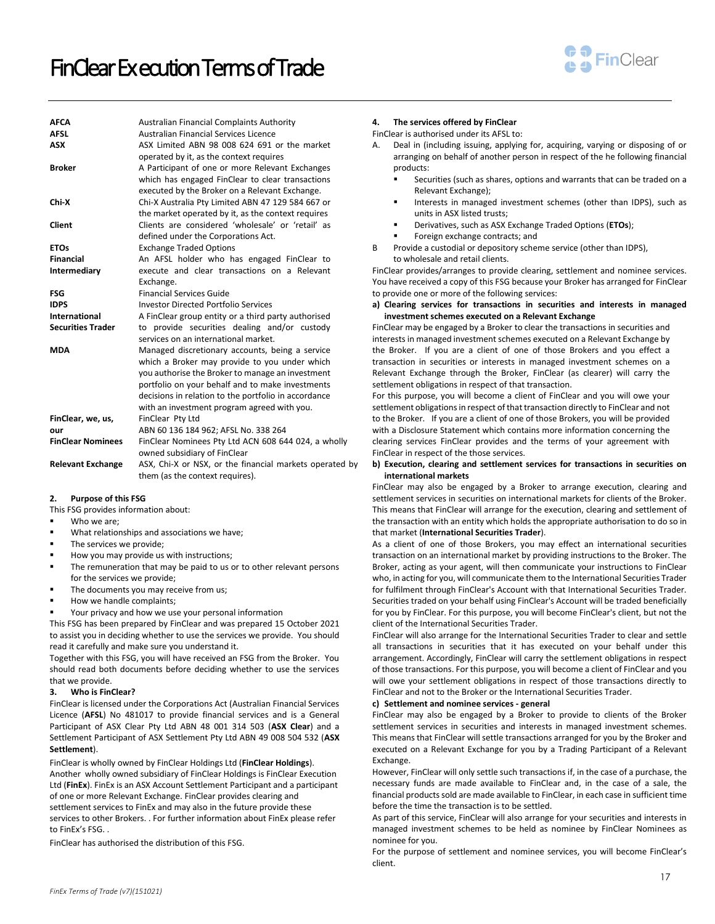

| <b>AFCA</b><br><b>AFSL</b><br><b>ASX</b><br><b>Broker</b> | <b>Australian Financial Complaints Authority</b><br>Australian Financial Services Licence<br>ASX Limited ABN 98 008 624 691 or the market<br>operated by it, as the context requires<br>A Participant of one or more Relevant Exchanges<br>which has engaged FinClear to clear transactions<br>executed by the Broker on a Relevant Exchange. |
|-----------------------------------------------------------|-----------------------------------------------------------------------------------------------------------------------------------------------------------------------------------------------------------------------------------------------------------------------------------------------------------------------------------------------|
| Chi-X                                                     | Chi-X Australia Pty Limited ABN 47 129 584 667 or<br>the market operated by it, as the context requires                                                                                                                                                                                                                                       |
| <b>Client</b>                                             | Clients are considered 'wholesale' or 'retail' as<br>defined under the Corporations Act.                                                                                                                                                                                                                                                      |
| <b>ETOs</b>                                               | <b>Exchange Traded Options</b>                                                                                                                                                                                                                                                                                                                |
| <b>Financial</b>                                          | An AFSL holder who has engaged FinClear to                                                                                                                                                                                                                                                                                                    |
| Intermediary                                              | execute and clear transactions on a Relevant<br>Exchange.                                                                                                                                                                                                                                                                                     |
| <b>FSG</b>                                                | <b>Financial Services Guide</b>                                                                                                                                                                                                                                                                                                               |
| <b>IDPS</b>                                               | <b>Investor Directed Portfolio Services</b>                                                                                                                                                                                                                                                                                                   |
| International                                             | A FinClear group entity or a third party authorised                                                                                                                                                                                                                                                                                           |
| <b>Securities Trader</b>                                  | to provide securities dealing and/or custody<br>services on an international market.                                                                                                                                                                                                                                                          |
| <b>MDA</b>                                                | Managed discretionary accounts, being a service<br>which a Broker may provide to you under which<br>you authorise the Broker to manage an investment<br>portfolio on your behalf and to make investments<br>decisions in relation to the portfolio in accordance<br>with an investment program agreed with you.                               |
| FinClear, we, us,                                         | FinClear Pty Ltd                                                                                                                                                                                                                                                                                                                              |
| our                                                       | ABN 60 136 184 962; AFSL No. 338 264                                                                                                                                                                                                                                                                                                          |
| <b>FinClear Nominees</b>                                  | FinClear Nominees Pty Ltd ACN 608 644 024, a wholly<br>owned subsidiary of FinClear                                                                                                                                                                                                                                                           |
| <b>Relevant Exchange</b>                                  | ASX, Chi-X or NSX, or the financial markets operated by<br>them (as the context requires).                                                                                                                                                                                                                                                    |

## **2. Purpose of this FSG**

This FSG provides information about:

- Who we are:
- What relationships and associations we have;
- The services we provide;
- How you may provide us with instructions;
- The remuneration that may be paid to us or to other relevant persons for the services we provide;
- The documents you may receive from us;
- How we handle complaints;
- Your privacy and how we use your personal information

This FSG has been prepared by FinClear and was prepared 15 October 2021 to assist you in deciding whether to use the services we provide. You should read it carefully and make sure you understand it.

Together with this FSG, you will have received an FSG from the Broker. You should read both documents before deciding whether to use the services that we provide.

## **3. Who is FinClear?**

FinClear is licensed under the Corporations Act (Australian Financial Services Licence (**AFSL**) No 481017 to provide financial services and is a General Participant of ASX Clear Pty Ltd ABN 48 001 314 503 (**ASX Clear**) and a Settlement Participant of ASX Settlement Pty Ltd ABN 49 008 504 532 (**ASX Settlement**).

FinClear is wholly owned by FinClear Holdings Ltd (**FinClear Holdings**). Another wholly owned subsidiary of FinClear Holdings is FinClear Execution Ltd (**FinEx**). FinEx is an ASX Account Settlement Participant and a participant of one or more Relevant Exchange. FinClear provides clearing and settlement services to FinEx and may also in the future provide these services to other Brokers. . For further information about FinEx please refer to FinEx's FSG. .

FinClear has authorised the distribution of this FSG.

#### **4. The services offered by FinClear**

FinClear is authorised under its AFSL to:

- Deal in (including issuing, applying for, acquiring, varying or disposing of or arranging on behalf of another person in respect of the he following financial products:
	- Securities (such as shares, options and warrants that can be traded on a Relevant Exchange);
	- Interests in managed investment schemes (other than IDPS), such as units in ASX listed trusts;
	- Derivatives, such as ASX Exchange Traded Options (**ETOs**);
	- Foreign exchange contracts; and
- B Provide a custodial or depository scheme service (other than IDPS), to wholesale and retail clients.

FinClear provides/arranges to provide clearing, settlement and nominee services. You have received a copy of this FSG because your Broker has arranged for FinClear to provide one or more of the following services:

## **a) Clearing services for transactions in securities and interests in managed investment schemes executed on a Relevant Exchange**

FinClear may be engaged by a Broker to clear the transactions in securities and interests in managed investment schemes executed on a Relevant Exchange by the Broker. If you are a client of one of those Brokers and you effect a transaction in securities or interests in managed investment schemes on a Relevant Exchange through the Broker, FinClear (as clearer) will carry the settlement obligations in respect of that transaction.

For this purpose, you will become a client of FinClear and you will owe your settlement obligations in respect of that transaction directly to FinClear and not to the Broker. If you are a client of one of those Brokers, you will be provided with a Disclosure Statement which contains more information concerning the clearing services FinClear provides and the terms of your agreement with FinClear in respect of the those services.

## <span id="page-16-0"></span>**b) Execution, clearing and settlement services for transactions in securities on international markets**

FinClear may also be engaged by a Broker to arrange execution, clearing and settlement services in securities on international markets for clients of the Broker. This means that FinClear will arrange for the execution, clearing and settlement of the transaction with an entity which holds the appropriate authorisation to do so in that market (**International Securities Trader**).

As a client of one of those Brokers, you may effect an international securities transaction on an international market by providing instructions to the Broker. The Broker, acting as your agent, will then communicate your instructions to FinClear who, in acting for you, will communicate them to the International Securities Trader for fulfilment through FinClear's Account with that International Securities Trader. Securities traded on your behalf using FinClear's Account will be traded beneficially for you by FinClear. For this purpose, you will become FinClear's client, but not the client of the International Securities Trader.

FinClear will also arrange for the International Securities Trader to clear and settle all transactions in securities that it has executed on your behalf under this arrangement. Accordingly, FinClear will carry the settlement obligations in respect of those transactions. For this purpose, you will become a client of FinClear and you will owe your settlement obligations in respect of those transactions directly to FinClear and not to the Broker or the International Securities Trader.

#### **c) Settlement and nominee services - general**

FinClear may also be engaged by a Broker to provide to clients of the Broker settlement services in securities and interests in managed investment schemes. This means that FinClear will settle transactions arranged for you by the Broker and executed on a Relevant Exchange for you by a Trading Participant of a Relevant Exchange.

However, FinClear will only settle such transactions if, in the case of a purchase, the necessary funds are made available to FinClear and, in the case of a sale, the financial products sold are made available to FinClear, in each case in sufficient time before the time the transaction is to be settled.

As part of this service, FinClear will also arrange for your securities and interests in managed investment schemes to be held as nominee by FinClear Nominees as nominee for you.

For the purpose of settlement and nominee services, you will become FinClear's client.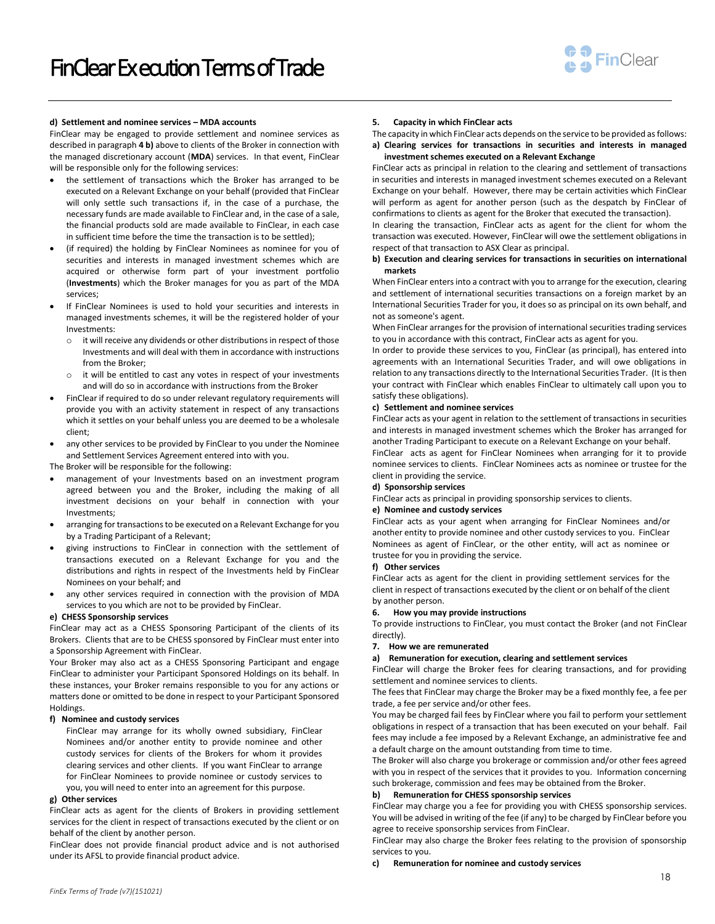

#### **d) Settlement and nominee services – MDA accounts**

FinClear may be engaged to provide settlement and nominee services as described in paragraph **4 [b\)](#page-16-0)** above to clients of the Broker in connection with the managed discretionary account (**MDA**) services. In that event, FinClear will be responsible only for the following services:

- the settlement of transactions which the Broker has arranged to be executed on a Relevant Exchange on your behalf (provided that FinClear will only settle such transactions if, in the case of a purchase, the necessary funds are made available to FinClear and, in the case of a sale, the financial products sold are made available to FinClear, in each case in sufficient time before the time the transaction is to be settled);
- (if required) the holding by FinClear Nominees as nominee for you of securities and interests in managed investment schemes which are acquired or otherwise form part of your investment portfolio (**Investments**) which the Broker manages for you as part of the MDA services;
- If FinClear Nominees is used to hold your securities and interests in managed investments schemes, it will be the registered holder of your Investments:
	- o it will receive any dividends or other distributions in respect of those Investments and will deal with them in accordance with instructions from the Broker;
	- o it will be entitled to cast any votes in respect of your investments and will do so in accordance with instructions from the Broker
- FinClear if required to do so under relevant regulatory requirements will provide you with an activity statement in respect of any transactions which it settles on your behalf unless you are deemed to be a wholesale client;
- any other services to be provided by FinClear to you under the Nominee and Settlement Services Agreement entered into with you.

The Broker will be responsible for the following:

- management of your Investments based on an investment program agreed between you and the Broker, including the making of all investment decisions on your behalf in connection with your Investments;
- arranging for transactions to be executed on a Relevant Exchange for you by a Trading Participant of a Relevant;
- giving instructions to FinClear in connection with the settlement of transactions executed on a Relevant Exchange for you and the distributions and rights in respect of the Investments held by FinClear Nominees on your behalf; and
- any other services required in connection with the provision of MDA services to you which are not to be provided by FinClear.

#### **e) CHESS Sponsorship services**

FinClear may act as a CHESS Sponsoring Participant of the clients of its Brokers. Clients that are to be CHESS sponsored by FinClear must enter into a Sponsorship Agreement with FinClear.

Your Broker may also act as a CHESS Sponsoring Participant and engage FinClear to administer your Participant Sponsored Holdings on its behalf. In these instances, your Broker remains responsible to you for any actions or matters done or omitted to be done in respect to your Participant Sponsored Holdings.

#### **f) Nominee and custody services**

FinClear may arrange for its wholly owned subsidiary, FinClear Nominees and/or another entity to provide nominee and other custody services for clients of the Brokers for whom it provides clearing services and other clients. If you want FinClear to arrange for FinClear Nominees to provide nominee or custody services to you, you will need to enter into an agreement for this purpose.

### **g) Other services**

FinClear acts as agent for the clients of Brokers in providing settlement services for the client in respect of transactions executed by the client or on behalf of the client by another person.

FinClear does not provide financial product advice and is not authorised under its AFSL to provide financial product advice.

#### **5. Capacity in which FinClear acts**

The capacity in which FinClear acts depends on the service to be provided as follows: **a) Clearing services for transactions in securities and interests in managed investment schemes executed on a Relevant Exchange**

FinClear acts as principal in relation to the clearing and settlement of transactions in securities and interests in managed investment schemes executed on a Relevant Exchange on your behalf. However, there may be certain activities which FinClear will perform as agent for another person (such as the despatch by FinClear of confirmations to clients as agent for the Broker that executed the transaction).

In clearing the transaction, FinClear acts as agent for the client for whom the transaction was executed. However, FinClear will owe the settlement obligations in respect of that transaction to ASX Clear as principal.

# **b) Execution and clearing services for transactions in securities on international markets**

When FinClear enters into a contract with you to arrange for the execution, clearing and settlement of international securities transactions on a foreign market by an International Securities Trader for you, it does so as principal on its own behalf, and not as someone's agent.

When FinClear arranges for the provision of international securities trading services to you in accordance with this contract, FinClear acts as agent for you.

In order to provide these services to you, FinClear (as principal), has entered into agreements with an International Securities Trader, and will owe obligations in relation to any transactions directly to the International Securities Trader. (It is then your contract with FinClear which enables FinClear to ultimately call upon you to satisfy these obligations).

## **c) Settlement and nominee services**

FinClear acts as your agent in relation to the settlement of transactions in securities and interests in managed investment schemes which the Broker has arranged for another Trading Participant to execute on a Relevant Exchange on your behalf.

FinClear acts as agent for FinClear Nominees when arranging for it to provide nominee services to clients. FinClear Nominees acts as nominee or trustee for the client in providing the service.

#### **d) Sponsorship services**

FinClear acts as principal in providing sponsorship services to clients.

#### **e) Nominee and custody services**

FinClear acts as your agent when arranging for FinClear Nominees and/or another entity to provide nominee and other custody services to you. FinClear Nominees as agent of FinClear, or the other entity, will act as nominee or trustee for you in providing the service.

#### **f) Other services**

FinClear acts as agent for the client in providing settlement services for the client in respect of transactions executed by the client or on behalf of the client by another person.

#### **6. How you may provide instructions**

To provide instructions to FinClear, you must contact the Broker (and not FinClear directly).

## **7. How we are remunerated**

#### **a) Remuneration for execution, clearing and settlement services**

FinClear will charge the Broker fees for clearing transactions, and for providing settlement and nominee services to clients.

The fees that FinClear may charge the Broker may be a fixed monthly fee, a fee per trade, a fee per service and/or other fees.

You may be charged fail fees by FinClear where you fail to perform your settlement obligations in respect of a transaction that has been executed on your behalf. Fail fees may include a fee imposed by a Relevant Exchange, an administrative fee and a default charge on the amount outstanding from time to time.

The Broker will also charge you brokerage or commission and/or other fees agreed with you in respect of the services that it provides to you. Information concerning such brokerage, commission and fees may be obtained from the Broker.

# **b) Remuneration for CHESS sponsorship services**

FinClear may charge you a fee for providing you with CHESS sponsorship services. You will be advised in writing of the fee (if any) to be charged by FinClear before you agree to receive sponsorship services from FinClear.

FinClear may also charge the Broker fees relating to the provision of sponsorship services to you.

**c) Remuneration for nominee and custody services**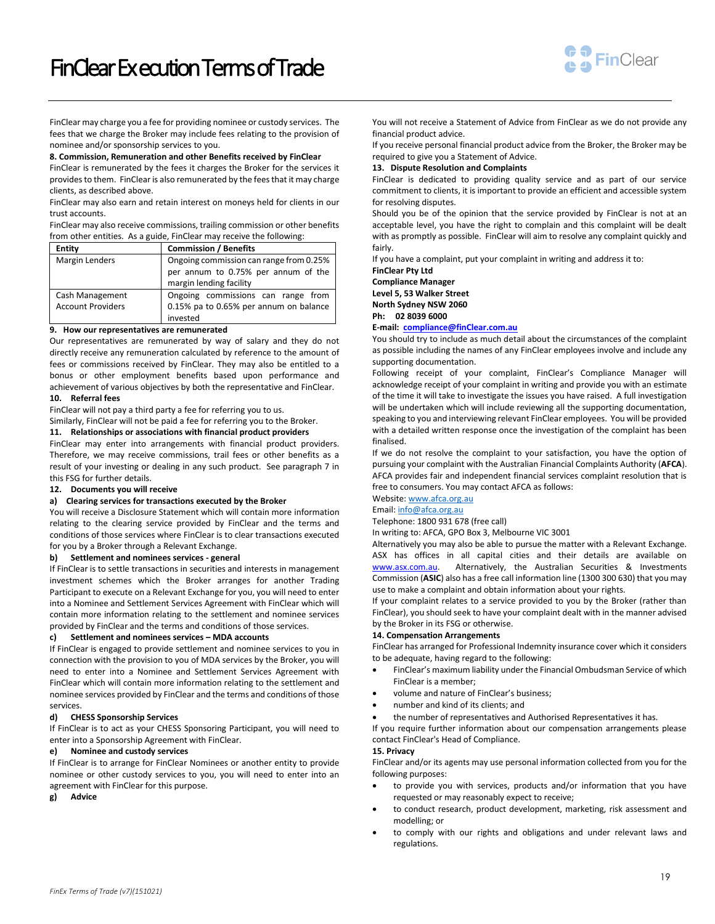

FinClear may charge you a fee for providing nominee or custody services. The fees that we charge the Broker may include fees relating to the provision of nominee and/or sponsorship services to you.

#### **8. Commission, Remuneration and other Benefits received by FinClear**

FinClear is remunerated by the fees it charges the Broker for the services it provides to them. FinClear is also remunerated by the fees that it may charge clients, as described above.

FinClear may also earn and retain interest on moneys held for clients in our trust accounts.

FinClear may also receive commissions, trailing commission or other benefits from other entities. As a guide, FinClear may receive the following:

| <b>Entity</b>                               | <b>Commission / Benefits</b>                                                                              |
|---------------------------------------------|-----------------------------------------------------------------------------------------------------------|
| Margin Lenders                              | Ongoing commission can range from 0.25%<br>per annum to 0.75% per annum of the<br>margin lending facility |
| Cash Management<br><b>Account Providers</b> | Ongoing commissions can range from<br>0.15% pa to 0.65% per annum on balance<br>invested                  |

### **9. How our representatives are remunerated**

Our representatives are remunerated by way of salary and they do not directly receive any remuneration calculated by reference to the amount of fees or commissions received by FinClear. They may also be entitled to a bonus or other employment benefits based upon performance and achievement of various objectives by both the representative and FinClear.

## **10. Referral fees**

FinClear will not pay a third party a fee for referring you to us.

Similarly, FinClear will not be paid a fee for referring you to the Broker.

## **11. Relationships or associations with financial product providers**

FinClear may enter into arrangements with financial product providers. Therefore, we may receive commissions, trail fees or other benefits as a result of your investing or dealing in any such product. See paragraph 7 in this FSG for further details.

## **12. Documents you will receive**

## **a) Clearing services for transactions executed by the Broker**

You will receive a Disclosure Statement which will contain more information relating to the clearing service provided by FinClear and the terms and conditions of those services where FinClear is to clear transactions executed for you by a Broker through a Relevant Exchange.

## **b) Settlement and nominees services - general**

If FinClear is to settle transactions in securities and interests in management investment schemes which the Broker arranges for another Trading Participant to execute on a Relevant Exchange for you, you will need to enter into a Nominee and Settlement Services Agreement with FinClear which will contain more information relating to the settlement and nominee services provided by FinClear and the terms and conditions of those services.

#### **c) Settlement and nominees services – MDA accounts**

If FinClear is engaged to provide settlement and nominee services to you in connection with the provision to you of MDA services by the Broker, you will need to enter into a Nominee and Settlement Services Agreement with FinClear which will contain more information relating to the settlement and nominee services provided by FinClear and the terms and conditions of those services.

# **d) CHESS Sponsorship Services**

If FinClear is to act as your CHESS Sponsoring Participant, you will need to enter into a Sponsorship Agreement with FinClear.

## **e) Nominee and custody services**

If FinClear is to arrange for FinClear Nominees or another entity to provide nominee or other custody services to you, you will need to enter into an agreement with FinClear for this purpose.

**g) Advice**

You will not receive a Statement of Advice from FinClear as we do not provide any financial product advice.

If you receive personal financial product advice from the Broker, the Broker may be required to give you a Statement of Advice.

#### **13. Dispute Resolution and Complaints**

FinClear is dedicated to providing quality service and as part of our service commitment to clients, it is important to provide an efficient and accessible system for resolving disputes.

Should you be of the opinion that the service provided by FinClear is not at an acceptable level, you have the right to complain and this complaint will be dealt with as promptly as possible. FinClear will aim to resolve any complaint quickly and fairly.

If you have a complaint, put your complaint in writing and address it to:

**FinClear Pty Ltd**

**Compliance Manager Level 5, 53 Walker Street** 

**North Sydney NSW 2060** 

**Ph: 02 8039 6000** 

#### **E-mail: [compliance@finClear.com.au](mailto:compliance@finClear.com.au)**

You should try to include as much detail about the circumstances of the complaint as possible including the names of any FinClear employees involve and include any supporting documentation.

Following receipt of your complaint, FinClear's Compliance Manager will acknowledge receipt of your complaint in writing and provide you with an estimate of the time it will take to investigate the issues you have raised. A full investigation will be undertaken which will include reviewing all the supporting documentation, speaking to you and interviewing relevant FinClear employees. You will be provided with a detailed written response once the investigation of the complaint has been finalised.

If we do not resolve the complaint to your satisfaction, you have the option of pursuing your complaint with the Australian Financial Complaints Authority (**AFCA**). AFCA provides fair and independent financial services complaint resolution that is free to consumers. You may contact AFCA as follows:

Website[: www.afca.org.au](http://www.afca.org.au/)

# Email[: info@afca.org.au](mailto:info@afca.org.au)

Telephone: 1800 931 678 (free call)

In writing to: AFCA, GPO Box 3, Melbourne VIC 3001

Alternatively you may also be able to pursue the matter with a Relevant Exchange. ASX has offices in all capital cities and their details are available on [www.asx.com.au.](http://www.asx.com.au/) Alternatively, the Australian Securities & Investments Commission (**ASIC**) also has a free call information line (1300 300 630) that you may use to make a complaint and obtain information about your rights.

If your complaint relates to a service provided to you by the Broker (rather than FinClear), you should seek to have your complaint dealt with in the manner advised by the Broker in its FSG or otherwise.

## **14. Compensation Arrangements**

FinClear has arranged for Professional Indemnity insurance cover which it considers to be adequate, having regard to the following:

- FinClear's maximum liability under the Financial Ombudsman Service of which FinClear is a member;
- volume and nature of FinClear's business;
- number and kind of its clients; and
- the number of representatives and Authorised Representatives it has.

If you require further information about our compensation arrangements please contact FinClear's Head of Compliance.

# **15. Privacy**

FinClear and/or its agents may use personal information collected from you for the following purposes:

- to provide you with services, products and/or information that you have requested or may reasonably expect to receive;
- to conduct research, product development, marketing, risk assessment and modelling; or
- to comply with our rights and obligations and under relevant laws and regulations.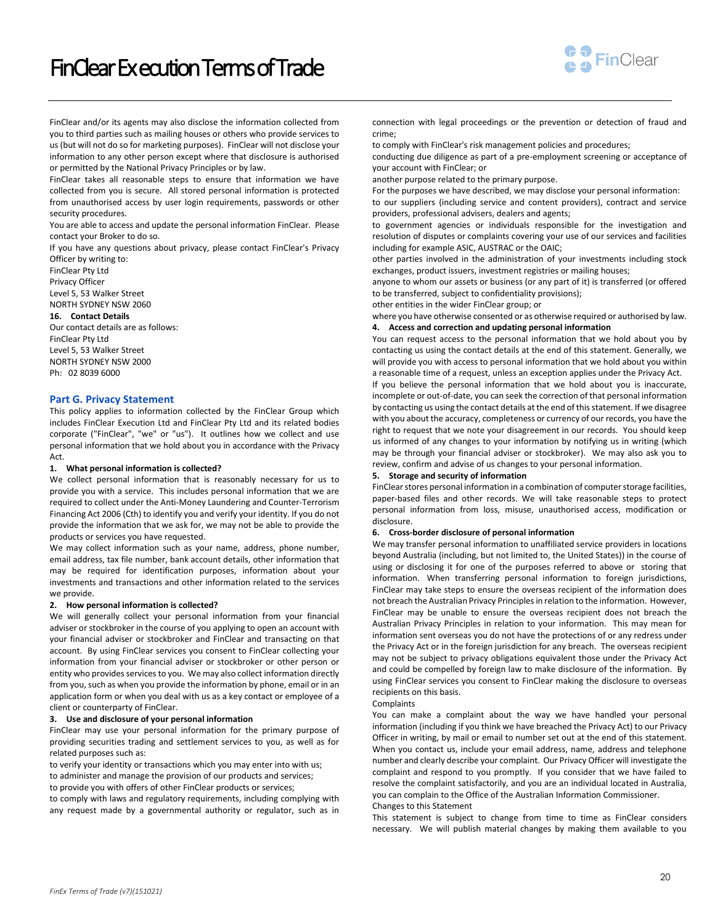# FinClear Ex ecution Terms of Trade



FinClear and/or its agents may also disclose the information collected from you to third parties such as mailing houses or others who provide services to us (but will not do so for marketing purposes). FinClear will not disclose your information to any other person except where that disclosure is authorised or permitted by the National Privacy Principles or by law.

FinClear takes all reasonable steps to ensure that information we have collected from you is secure. All stored personal information is protected from unauthorised access by user login requirements, passwords or other security procedures.

You are able to access and update the personal information FinClear. Please contact your Broker to do so.

If you have any questions about privacy, please contact FinClear's Privacy Officer by writing to:

FinClear Pty Ltd Privacy Officer Level 5, 53 Walker Street

#### NORTH SYDNEY NSW 2060 **16. Contact Details**

Our contact details are as follows: FinClear Pty Ltd Level 5, 53 Walker Street NORTH SYDNEY NSW 2000 Ph: 02 8039 6000

## **Part G. Privacy Statement**

This policy applies to information collected by the FinClear Group which includes FinClear Execution Ltd and FinClear Pty Ltd and its related bodies corporate ("FinClear", "we" or "us"). It outlines how we collect and use personal information that we hold about you in accordance with the Privacy Act.

## **1. What personal information is collected?**

We collect personal information that is reasonably necessary for us to provide you with a service. This includes personal information that we are required to collect under the Anti-Money Laundering and Counter-Terrorism Financing Act 2006 (Cth) to identify you and verify your identity. If you do not provide the information that we ask for, we may not be able to provide the products or services you have requested.

We may collect information such as your name, address, phone number, email address, tax file number, bank account details, other information that may be required for identification purposes, information about your investments and transactions and other information related to the services we provide.

#### **2. How personal information is collected?**

We will generally collect your personal information from your financial adviser or stockbroker in the course of you applying to open an account with your financial adviser or stockbroker and FinClear and transacting on that account. By using FinClear services you consent to FinClear collecting your information from your financial adviser or stockbroker or other person or entity who provides services to you. We may also collect information directly from you, such as when you provide the information by phone, email or in an application form or when you deal with us as a key contact or employee of a client or counterparty of FinClear.

## **3. Use and disclosure of your personal information**

FinClear may use your personal information for the primary purpose of providing securities trading and settlement services to you, as well as for related purposes such as:

to verify your identity or transactions which you may enter into with us; to administer and manage the provision of our products and services; to provide you with offers of other FinClear products or services;

to comply with laws and regulatory requirements, including complying with any request made by a governmental authority or regulator, such as in connection with legal proceedings or the prevention or detection of fraud and crime;

to comply with FinClear's risk management policies and procedures;

conducting due diligence as part of a pre-employment screening or acceptance of your account with FinClear; or

another purpose related to the primary purpose.

For the purposes we have described, we may disclose your personal information: to our suppliers (including service and content providers), contract and service

providers, professional advisers, dealers and agents; to government agencies or individuals responsible for the investigation and resolution of disputes or complaints covering your use of our services and facilities including for example ASIC, AUSTRAC or the OAIC;

other parties involved in the administration of your investments including stock exchanges, product issuers, investment registries or mailing houses;

anyone to whom our assets or business (or any part of it) is transferred (or offered to be transferred, subject to confidentiality provisions);

other entities in the wider FinClear group; or

where you have otherwise consented or as otherwise required or authorised by law. **4. Access and correction and updating personal information**

You can request access to the personal information that we hold about you by contacting us using the contact details at the end of this statement. Generally, we will provide you with access to personal information that we hold about you within a reasonable time of a request, unless an exception applies under the Privacy Act.

If you believe the personal information that we hold about you is inaccurate, incomplete or out-of-date, you can seek the correction of that personal information by contacting us using the contact details at the end of this statement. If we disagree with you about the accuracy, completeness or currency of our records, you have the right to request that we note your disagreement in our records. You should keep us informed of any changes to your information by notifying us in writing (which may be through your financial adviser or stockbroker). We may also ask you to review, confirm and advise of us changes to your personal information.

## **5. Storage and security of information**

FinClear stores personal information in a combination of computer storage facilities, paper-based files and other records. We will take reasonable steps to protect personal information from loss, misuse, unauthorised access, modification or disclosure.

## **6. Cross-border disclosure of personal information**

We may transfer personal information to unaffiliated service providers in locations beyond Australia (including, but not limited to, the United States)) in the course of using or disclosing it for one of the purposes referred to above or storing that information. When transferring personal information to foreign jurisdictions, FinClear may take steps to ensure the overseas recipient of the information does not breach the Australian Privacy Principles in relation to the information. However, FinClear may be unable to ensure the overseas recipient does not breach the Australian Privacy Principles in relation to your information. This may mean for information sent overseas you do not have the protections of or any redress under the Privacy Act or in the foreign jurisdiction for any breach. The overseas recipient may not be subject to privacy obligations equivalent those under the Privacy Act and could be compelled by foreign law to make disclosure of the information. By using FinClear services you consent to FinClear making the disclosure to overseas recipients on this basis.

#### Complaints

You can make a complaint about the way we have handled your personal information (including if you think we have breached the Privacy Act) to our Privacy Officer in writing, by mail or email to number set out at the end of this statement. When you contact us, include your email address, name, address and telephone number and clearly describe your complaint. Our Privacy Officer will investigate the complaint and respond to you promptly. If you consider that we have failed to resolve the complaint satisfactorily, and you are an individual located in Australia, you can complain to the Office of the Australian Information Commissioner. Changes to this Statement

This statement is subject to change from time to time as FinClear considers necessary. We will publish material changes by making them available to you